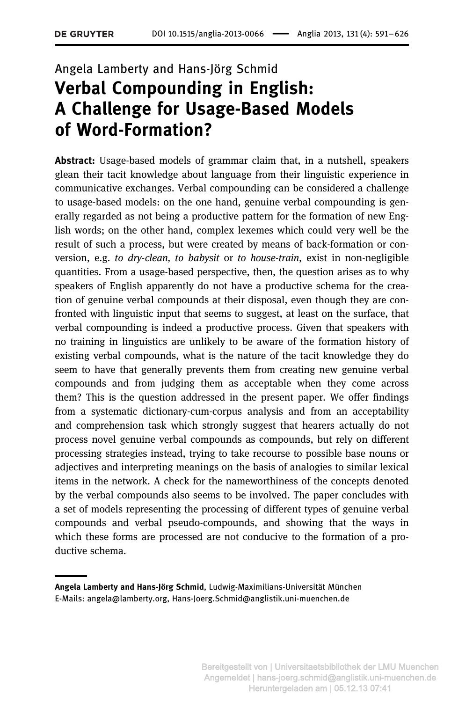# Angela Lamberty and Hans-Jörg Schmid Verbal Compounding in English: A Challenge for Usage-Based Models of Word-Formation?

Abstract: Usage-based models of grammar claim that, in a nutshell, speakers glean their tacit knowledge about language from their linguistic experience in communicative exchanges. Verbal compounding can be considered a challenge to usage-based models: on the one hand, genuine verbal compounding is generally regarded as not being a productive pattern for the formation of new English words; on the other hand, complex lexemes which could very well be the result of such a process, but were created by means of back-formation or conversion, e.g. to dry-clean, to babysit or to house-train, exist in non-negligible quantities. From a usage-based perspective, then, the question arises as to why speakers of English apparently do not have a productive schema for the creation of genuine verbal compounds at their disposal, even though they are confronted with linguistic input that seems to suggest, at least on the surface, that verbal compounding is indeed a productive process. Given that speakers with no training in linguistics are unlikely to be aware of the formation history of existing verbal compounds, what is the nature of the tacit knowledge they do seem to have that generally prevents them from creating new genuine verbal compounds and from judging them as acceptable when they come across them? This is the question addressed in the present paper. We offer findings from a systematic dictionary-cum-corpus analysis and from an acceptability and comprehension task which strongly suggest that hearers actually do not process novel genuine verbal compounds as compounds, but rely on different processing strategies instead, trying to take recourse to possible base nouns or adjectives and interpreting meanings on the basis of analogies to similar lexical items in the network. A check for the nameworthiness of the concepts denoted by the verbal compounds also seems to be involved. The paper concludes with a set of models representing the processing of different types of genuine verbal compounds and verbal pseudo-compounds, and showing that the ways in which these forms are processed are not conducive to the formation of a productive schema.

Angela Lamberty and Hans-Jörg Schmid, Ludwig-Maximilians-Universität München E-Mails: angela@lamberty.org, Hans-Joerg.Schmid@anglistik.uni-muenchen.de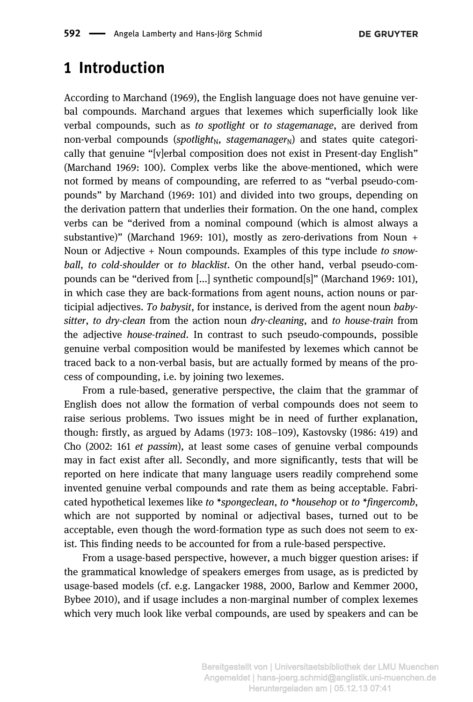# 1 Introduction

According to Marchand (1969), the English language does not have genuine verbal compounds. Marchand argues that lexemes which superficially look like verbal compounds, such as to spotlight or to stagemanage, are derived from non-verbal compounds (spotlight<sub>N</sub>, stagemanager<sub>N</sub>) and states quite categorically that genuine "[v]erbal composition does not exist in Present-day English" (Marchand 1969: 100). Complex verbs like the above-mentioned, which were not formed by means of compounding, are referred to as "verbal pseudo-compounds" by Marchand (1969: 101) and divided into two groups, depending on the derivation pattern that underlies their formation. On the one hand, complex verbs can be "derived from a nominal compound (which is almost always a substantive)" (Marchand 1969: 101), mostly as zero-derivations from Noun + Noun or Adjective + Noun compounds. Examples of this type include to snowball, to cold-shoulder or to blacklist. On the other hand, verbal pseudo-compounds can be "derived from [...] synthetic compound[s]" (Marchand 1969: 101), in which case they are back-formations from agent nouns, action nouns or participial adjectives. To babysit, for instance, is derived from the agent noun babysitter, to dry-clean from the action noun  $\frac{dy}{dx}$ -cleaning, and to house-train from the adjective house-trained. In contrast to such pseudo-compounds, possible genuine verbal composition would be manifested by lexemes which cannot be traced back to a non-verbal basis, but are actually formed by means of the process of compounding, i.e. by joining two lexemes.

From a rule-based, generative perspective, the claim that the grammar of English does not allow the formation of verbal compounds does not seem to raise serious problems. Two issues might be in need of further explanation, though: firstly, as argued by Adams (1973: 108–109), Kastovsky (1986: 419) and Cho (2002: 161 et passim), at least some cases of genuine verbal compounds may in fact exist after all. Secondly, and more significantly, tests that will be reported on here indicate that many language users readily comprehend some invented genuine verbal compounds and rate them as being acceptable. Fabricated hypothetical lexemes like to \*spongeclean, to \*househop or to \*fingercomb, which are not supported by nominal or adjectival bases, turned out to be acceptable, even though the word-formation type as such does not seem to exist. This finding needs to be accounted for from a rule-based perspective.

From a usage-based perspective, however, a much bigger question arises: if the grammatical knowledge of speakers emerges from usage, as is predicted by usage-based models (cf. e.g. Langacker 1988, 2000, Barlow and Kemmer 2000, Bybee 2010), and if usage includes a non-marginal number of complex lexemes which very much look like verbal compounds, are used by speakers and can be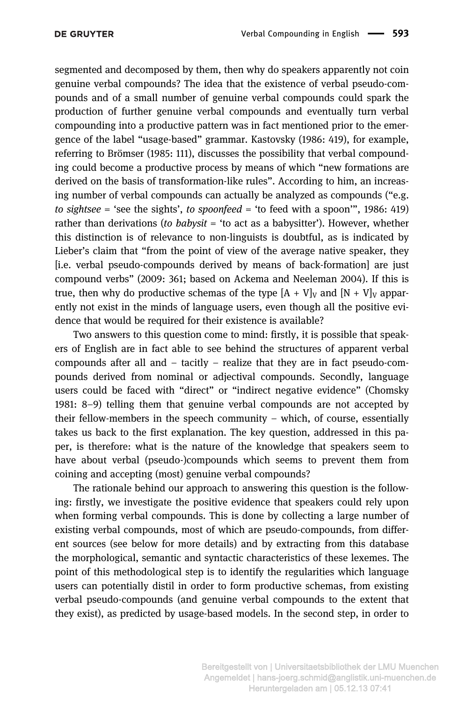segmented and decomposed by them, then why do speakers apparently not coin genuine verbal compounds? The idea that the existence of verbal pseudo-compounds and of a small number of genuine verbal compounds could spark the production of further genuine verbal compounds and eventually turn verbal compounding into a productive pattern was in fact mentioned prior to the emergence of the label "usage-based" grammar. Kastovsky (1986: 419), for example, referring to Brömser (1985: 111), discusses the possibility that verbal compounding could become a productive process by means of which "new formations are derived on the basis of transformation-like rules". According to him, an increasing number of verbal compounds can actually be analyzed as compounds ("e.g. to sightsee = 'see the sights', to spoonfeed = 'to feed with a spoon'",  $1986: 419$ rather than derivations (to babysit  $=$  'to act as a babysitter'). However, whether this distinction is of relevance to non-linguists is doubtful, as is indicated by Lieber's claim that "from the point of view of the average native speaker, they [i.e. verbal pseudo-compounds derived by means of back-formation] are just compound verbs" (2009: 361; based on Ackema and Neeleman 2004). If this is true, then why do productive schemas of the type  $[A + V]_V$  and  $[N + V]_V$  apparently not exist in the minds of language users, even though all the positive evidence that would be required for their existence is available?

Two answers to this question come to mind: firstly, it is possible that speakers of English are in fact able to see behind the structures of apparent verbal compounds after all and – tacitly – realize that they are in fact pseudo-compounds derived from nominal or adjectival compounds. Secondly, language users could be faced with "direct" or "indirect negative evidence" (Chomsky 1981: 8–9) telling them that genuine verbal compounds are not accepted by their fellow-members in the speech community – which, of course, essentially takes us back to the first explanation. The key question, addressed in this paper, is therefore: what is the nature of the knowledge that speakers seem to have about verbal (pseudo-)compounds which seems to prevent them from coining and accepting (most) genuine verbal compounds?

The rationale behind our approach to answering this question is the following: firstly, we investigate the positive evidence that speakers could rely upon when forming verbal compounds. This is done by collecting a large number of existing verbal compounds, most of which are pseudo-compounds, from different sources (see below for more details) and by extracting from this database the morphological, semantic and syntactic characteristics of these lexemes. The point of this methodological step is to identify the regularities which language users can potentially distil in order to form productive schemas, from existing verbal pseudo-compounds (and genuine verbal compounds to the extent that they exist), as predicted by usage-based models. In the second step, in order to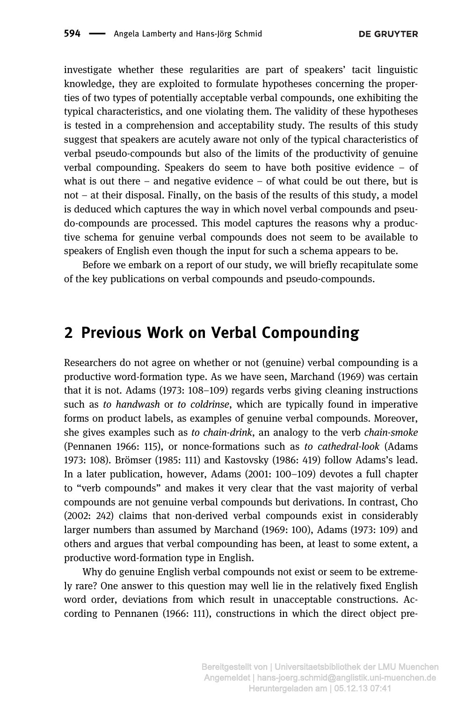investigate whether these regularities are part of speakers' tacit linguistic knowledge, they are exploited to formulate hypotheses concerning the properties of two types of potentially acceptable verbal compounds, one exhibiting the typical characteristics, and one violating them. The validity of these hypotheses is tested in a comprehension and acceptability study. The results of this study suggest that speakers are acutely aware not only of the typical characteristics of verbal pseudo-compounds but also of the limits of the productivity of genuine verbal compounding. Speakers do seem to have both positive evidence – of what is out there – and negative evidence – of what could be out there, but is not – at their disposal. Finally, on the basis of the results of this study, a model is deduced which captures the way in which novel verbal compounds and pseudo-compounds are processed. This model captures the reasons why a productive schema for genuine verbal compounds does not seem to be available to speakers of English even though the input for such a schema appears to be.

Before we embark on a report of our study, we will briefly recapitulate some of the key publications on verbal compounds and pseudo-compounds.

## 2 Previous Work on Verbal Compounding

Researchers do not agree on whether or not (genuine) verbal compounding is a productive word-formation type. As we have seen, Marchand (1969) was certain that it is not. Adams (1973: 108–109) regards verbs giving cleaning instructions such as to handwash or to coldrinse, which are typically found in imperative forms on product labels, as examples of genuine verbal compounds. Moreover, she gives examples such as to chain-drink, an analogy to the verb chain-smoke (Pennanen 1966: 115), or nonce-formations such as to cathedral-look (Adams 1973: 108). Brömser (1985: 111) and Kastovsky (1986: 419) follow Adams's lead. In a later publication, however, Adams (2001: 100–109) devotes a full chapter to "verb compounds" and makes it very clear that the vast majority of verbal compounds are not genuine verbal compounds but derivations. In contrast, Cho (2002: 242) claims that non-derived verbal compounds exist in considerably larger numbers than assumed by Marchand (1969: 100), Adams (1973: 109) and others and argues that verbal compounding has been, at least to some extent, a productive word-formation type in English.

Why do genuine English verbal compounds not exist or seem to be extremely rare? One answer to this question may well lie in the relatively fixed English word order, deviations from which result in unacceptable constructions. According to Pennanen (1966: 111), constructions in which the direct object pre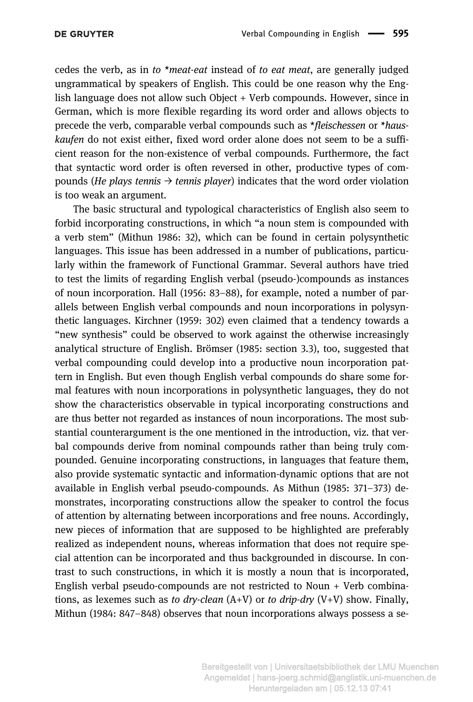cedes the verb, as in to \*meat-eat instead of to eat meat, are generally judged ungrammatical by speakers of English. This could be one reason why the English language does not allow such Object + Verb compounds. However, since in German, which is more flexible regarding its word order and allows objects to precede the verb, comparable verbal compounds such as \*fleischessen or \*hauskaufen do not exist either, fixed word order alone does not seem to be a sufficient reason for the non-existence of verbal compounds. Furthermore, the fact that syntactic word order is often reversed in other, productive types of compounds (He plays tennis  $\rightarrow$  tennis player) indicates that the word order violation is too weak an argument.

The basic structural and typological characteristics of English also seem to forbid incorporating constructions, in which "a noun stem is compounded with a verb stem" (Mithun 1986: 32), which can be found in certain polysynthetic languages. This issue has been addressed in a number of publications, particularly within the framework of Functional Grammar. Several authors have tried to test the limits of regarding English verbal (pseudo‑)compounds as instances of noun incorporation. Hall (1956: 83–88), for example, noted a number of parallels between English verbal compounds and noun incorporations in polysynthetic languages. Kirchner (1959: 302) even claimed that a tendency towards a "new synthesis" could be observed to work against the otherwise increasingly analytical structure of English. Brömser (1985: section 3.3), too, suggested that verbal compounding could develop into a productive noun incorporation pattern in English. But even though English verbal compounds do share some formal features with noun incorporations in polysynthetic languages, they do not show the characteristics observable in typical incorporating constructions and are thus better not regarded as instances of noun incorporations. The most substantial counterargument is the one mentioned in the introduction, viz. that verbal compounds derive from nominal compounds rather than being truly compounded. Genuine incorporating constructions, in languages that feature them, also provide systematic syntactic and information-dynamic options that are not available in English verbal pseudo-compounds. As Mithun (1985: 371–373) demonstrates, incorporating constructions allow the speaker to control the focus of attention by alternating between incorporations and free nouns. Accordingly, new pieces of information that are supposed to be highlighted are preferably realized as independent nouns, whereas information that does not require special attention can be incorporated and thus backgrounded in discourse. In contrast to such constructions, in which it is mostly a noun that is incorporated, English verbal pseudo-compounds are not restricted to Noun + Verb combinations, as lexemes such as to dry-clean  $(A+V)$  or to drip-dry  $(V+V)$  show. Finally, Mithun (1984: 847–848) observes that noun incorporations always possess a se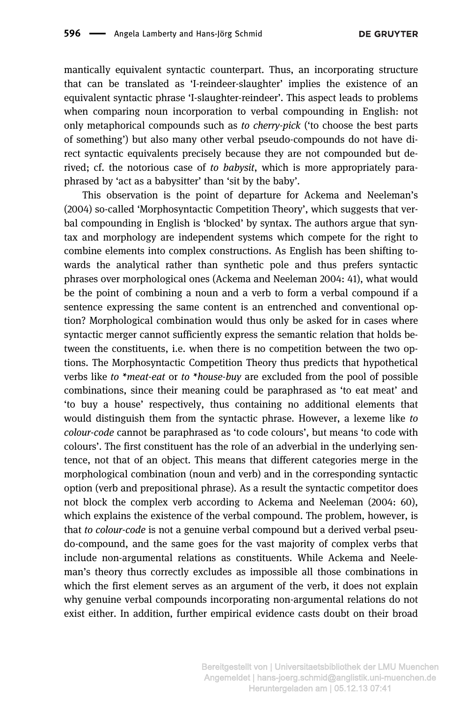mantically equivalent syntactic counterpart. Thus, an incorporating structure that can be translated as 'I-reindeer-slaughter' implies the existence of an equivalent syntactic phrase 'I-slaughter-reindeer'. This aspect leads to problems when comparing noun incorporation to verbal compounding in English: not only metaphorical compounds such as to cherry-pick ('to choose the best parts of something') but also many other verbal pseudo-compounds do not have direct syntactic equivalents precisely because they are not compounded but derived; cf. the notorious case of to babysit, which is more appropriately paraphrased by 'act as a babysitter' than 'sit by the baby'.

This observation is the point of departure for Ackema and Neeleman's (2004) so-called 'Morphosyntactic Competition Theory', which suggests that verbal compounding in English is 'blocked' by syntax. The authors argue that syntax and morphology are independent systems which compete for the right to combine elements into complex constructions. As English has been shifting towards the analytical rather than synthetic pole and thus prefers syntactic phrases over morphological ones (Ackema and Neeleman 2004: 41), what would be the point of combining a noun and a verb to form a verbal compound if a sentence expressing the same content is an entrenched and conventional option? Morphological combination would thus only be asked for in cases where syntactic merger cannot sufficiently express the semantic relation that holds between the constituents, i.e. when there is no competition between the two options. The Morphosyntactic Competition Theory thus predicts that hypothetical verbs like to \*meat-eat or to \*house-buy are excluded from the pool of possible combinations, since their meaning could be paraphrased as 'to eat meat' and 'to buy a house' respectively, thus containing no additional elements that would distinguish them from the syntactic phrase. However, a lexeme like to colour-code cannot be paraphrased as 'to code colours', but means 'to code with colours'. The first constituent has the role of an adverbial in the underlying sentence, not that of an object. This means that different categories merge in the morphological combination (noun and verb) and in the corresponding syntactic option (verb and prepositional phrase). As a result the syntactic competitor does not block the complex verb according to Ackema and Neeleman (2004: 60), which explains the existence of the verbal compound. The problem, however, is that to colour-code is not a genuine verbal compound but a derived verbal pseudo-compound, and the same goes for the vast majority of complex verbs that include non-argumental relations as constituents. While Ackema and Neeleman's theory thus correctly excludes as impossible all those combinations in which the first element serves as an argument of the verb, it does not explain why genuine verbal compounds incorporating non-argumental relations do not exist either. In addition, further empirical evidence casts doubt on their broad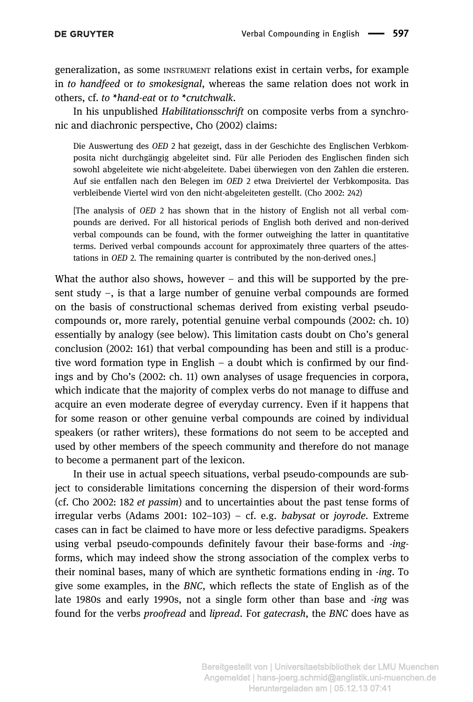generalization, as some INSTRUMENT relations exist in certain verbs, for example in to handfeed or to smokesignal, whereas the same relation does not work in others, cf. to \*hand-eat or to \*crutchwalk.

In his unpublished Habilitationsschrift on composite verbs from a synchronic and diachronic perspective, Cho (2002) claims:

Die Auswertung des OED 2 hat gezeigt, dass in der Geschichte des Englischen Verbkomposita nicht durchgängig abgeleitet sind. Für alle Perioden des Englischen finden sich sowohl abgeleitete wie nicht-abgeleitete. Dabei überwiegen von den Zahlen die ersteren. Auf sie entfallen nach den Belegen im OED 2 etwa Dreiviertel der Verbkomposita. Das verbleibende Viertel wird von den nicht-abgeleiteten gestellt. (Cho 2002: 242)

[The analysis of OED 2 has shown that in the history of English not all verbal compounds are derived. For all historical periods of English both derived and non-derived verbal compounds can be found, with the former outweighing the latter in quantitative terms. Derived verbal compounds account for approximately three quarters of the attestations in OED 2. The remaining quarter is contributed by the non-derived ones.]

What the author also shows, however – and this will be supported by the present study –, is that a large number of genuine verbal compounds are formed on the basis of constructional schemas derived from existing verbal pseudocompounds or, more rarely, potential genuine verbal compounds (2002: ch. 10) essentially by analogy (see below). This limitation casts doubt on Cho's general conclusion (2002: 161) that verbal compounding has been and still is a productive word formation type in English – a doubt which is confirmed by our findings and by Cho's (2002: ch. 11) own analyses of usage frequencies in corpora, which indicate that the majority of complex verbs do not manage to diffuse and acquire an even moderate degree of everyday currency. Even if it happens that for some reason or other genuine verbal compounds are coined by individual speakers (or rather writers), these formations do not seem to be accepted and used by other members of the speech community and therefore do not manage to become a permanent part of the lexicon.

In their use in actual speech situations, verbal pseudo-compounds are subject to considerable limitations concerning the dispersion of their word-forms (cf. Cho 2002: 182 et passim) and to uncertainties about the past tense forms of irregular verbs (Adams 2001:  $102-103$ ) – cf. e.g. babysat or joyrode. Extreme cases can in fact be claimed to have more or less defective paradigms. Speakers using verbal pseudo-compounds definitely favour their base-forms and *-ing*forms, which may indeed show the strong association of the complex verbs to their nominal bases, many of which are synthetic formations ending in -ing. To give some examples, in the BNC, which reflects the state of English as of the late 1980s and early 1990s, not a single form other than base and *-ing* was found for the verbs *proofread* and *lipread*. For *gatecrash*, the *BNC* does have as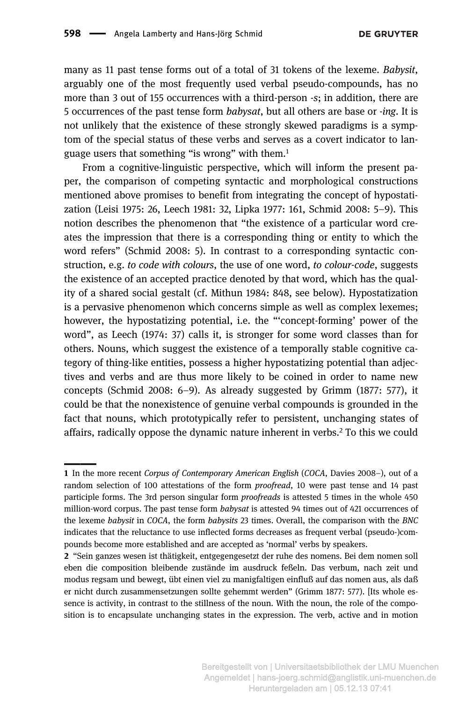many as 11 past tense forms out of a total of 31 tokens of the lexeme. Babysit, arguably one of the most frequently used verbal pseudo-compounds, has no more than 3 out of 155 occurrences with a third-person ‑s; in addition, there are 5 occurrences of the past tense form *babysat*, but all others are base or *-ing*. It is not unlikely that the existence of these strongly skewed paradigms is a symptom of the special status of these verbs and serves as a covert indicator to language users that something "is wrong" with them.1

From a cognitive-linguistic perspective, which will inform the present paper, the comparison of competing syntactic and morphological constructions mentioned above promises to benefit from integrating the concept of hypostatization (Leisi 1975: 26, Leech 1981: 32, Lipka 1977: 161, Schmid 2008: 5–9). This notion describes the phenomenon that "the existence of a particular word creates the impression that there is a corresponding thing or entity to which the word refers" (Schmid 2008: 5). In contrast to a corresponding syntactic construction, e.g. to code with colours, the use of one word, to colour-code, suggests the existence of an accepted practice denoted by that word, which has the quality of a shared social gestalt (cf. Mithun 1984: 848, see below). Hypostatization is a pervasive phenomenon which concerns simple as well as complex lexemes; however, the hypostatizing potential, i.e. the "'concept-forming' power of the word", as Leech (1974: 37) calls it, is stronger for some word classes than for others. Nouns, which suggest the existence of a temporally stable cognitive category of thing-like entities, possess a higher hypostatizing potential than adjectives and verbs and are thus more likely to be coined in order to name new concepts (Schmid 2008: 6–9). As already suggested by Grimm (1877: 577), it could be that the nonexistence of genuine verbal compounds is grounded in the fact that nouns, which prototypically refer to persistent, unchanging states of affairs, radically oppose the dynamic nature inherent in verbs.2 To this we could

<sup>1</sup> In the more recent Corpus of Contemporary American English (COCA, Davies 2008–), out of a random selection of 100 attestations of the form proofread, 10 were past tense and 14 past participle forms. The 3rd person singular form *proofreads* is attested 5 times in the whole 450 million-word corpus. The past tense form *babysat* is attested 94 times out of 421 occurrences of the lexeme babysit in COCA, the form babysits 23 times. Overall, the comparison with the BNC indicates that the reluctance to use inflected forms decreases as frequent verbal (pseudo-)compounds become more established and are accepted as 'normal' verbs by speakers.

<sup>2</sup> "Sein ganzes wesen ist thätigkeit, entgegengesetzt der ruhe des nomens. Bei dem nomen soll eben die composition bleibende zustände im ausdruck feßeln. Das verbum, nach zeit und modus regsam und bewegt, übt einen viel zu manigfaltigen einfluß auf das nomen aus, als daß er nicht durch zusammensetzungen sollte gehemmt werden" (Grimm 1877: 577). [Its whole essence is activity, in contrast to the stillness of the noun. With the noun, the role of the composition is to encapsulate unchanging states in the expression. The verb, active and in motion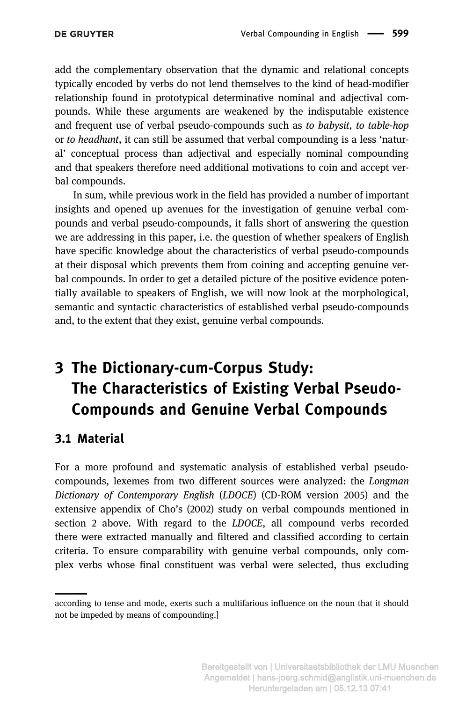add the complementary observation that the dynamic and relational concepts typically encoded by verbs do not lend themselves to the kind of head-modifier relationship found in prototypical determinative nominal and adjectival compounds. While these arguments are weakened by the indisputable existence and frequent use of verbal pseudo-compounds such as to babysit, to table-hop or to headhunt, it can still be assumed that verbal compounding is a less 'natural' conceptual process than adjectival and especially nominal compounding and that speakers therefore need additional motivations to coin and accept verbal compounds.

In sum, while previous work in the field has provided a number of important insights and opened up avenues for the investigation of genuine verbal compounds and verbal pseudo-compounds, it falls short of answering the question we are addressing in this paper, i.e. the question of whether speakers of English have specific knowledge about the characteristics of verbal pseudo-compounds at their disposal which prevents them from coining and accepting genuine verbal compounds. In order to get a detailed picture of the positive evidence potentially available to speakers of English, we will now look at the morphological, semantic and syntactic characteristics of established verbal pseudo-compounds and, to the extent that they exist, genuine verbal compounds.

# 3 The Dictionary-cum-Corpus Study: The Characteristics of Existing Verbal Pseudo-Compounds and Genuine Verbal Compounds

## 3.1 Material

For a more profound and systematic analysis of established verbal pseudocompounds, lexemes from two different sources were analyzed: the Longman Dictionary of Contemporary English (LDOCE) (CD-ROM version 2005) and the extensive appendix of Cho's (2002) study on verbal compounds mentioned in section 2 above. With regard to the LDOCE, all compound verbs recorded there were extracted manually and filtered and classified according to certain criteria. To ensure comparability with genuine verbal compounds, only complex verbs whose final constituent was verbal were selected, thus excluding

according to tense and mode, exerts such a multifarious influence on the noun that it should not be impeded by means of compounding.]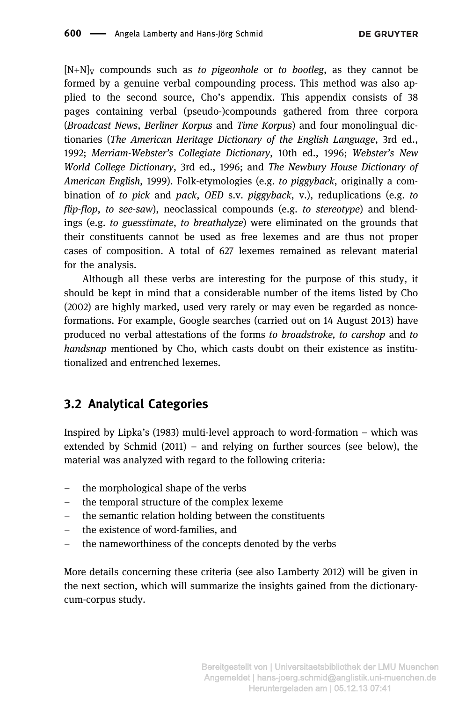$[N+N]_V$  compounds such as to pigeonhole or to bootleg, as they cannot be formed by a genuine verbal compounding process. This method was also applied to the second source, Cho's appendix. This appendix consists of 38 pages containing verbal (pseudo‑)compounds gathered from three corpora (Broadcast News, Berliner Korpus and Time Korpus) and four monolingual dictionaries (The American Heritage Dictionary of the English Language, 3rd ed., 1992; Merriam-Webster's Collegiate Dictionary, 10th ed., 1996; Webster's New World College Dictionary, 3rd ed., 1996; and The Newbury House Dictionary of American English, 1999). Folk-etymologies (e.g. to piggyback, originally a combination of to pick and pack, OED s.v. piggyback, v.), reduplications (e.g. to flip-flop, to see-saw), neoclassical compounds (e.g. to stereotype) and blendings (e.g. to guesstimate, to breathalyze) were eliminated on the grounds that their constituents cannot be used as free lexemes and are thus not proper cases of composition. A total of 627 lexemes remained as relevant material for the analysis.

Although all these verbs are interesting for the purpose of this study, it should be kept in mind that a considerable number of the items listed by Cho (2002) are highly marked, used very rarely or may even be regarded as nonceformations. For example, Google searches (carried out on 14 August 2013) have produced no verbal attestations of the forms to broadstroke, to carshop and to handsnap mentioned by Cho, which casts doubt on their existence as institutionalized and entrenched lexemes.

## 3.2 Analytical Categories

Inspired by Lipka's (1983) multi-level approach to word-formation – which was extended by Schmid  $(2011)$  – and relying on further sources (see below), the material was analyzed with regard to the following criteria:

- the morphological shape of the verbs
- the temporal structure of the complex lexeme
- the semantic relation holding between the constituents
- the existence of word-families, and
- the nameworthiness of the concepts denoted by the verbs

More details concerning these criteria (see also Lamberty 2012) will be given in the next section, which will summarize the insights gained from the dictionarycum-corpus study.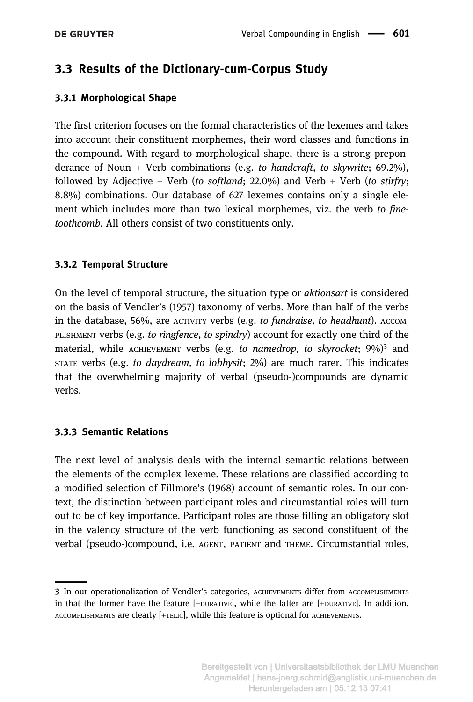## 3.3 Results of the Dictionary-cum-Corpus Study

### 3.3.1 Morphological Shape

The first criterion focuses on the formal characteristics of the lexemes and takes into account their constituent morphemes, their word classes and functions in the compound. With regard to morphological shape, there is a strong preponderance of Noun + Verb combinations (e.g. to handcraft, to skywrite;  $69.2\%)$ , followed by Adjective + Verb (to softland; 22.0%) and Verb + Verb (to stirfry; 8.8%) combinations. Our database of 627 lexemes contains only a single element which includes more than two lexical morphemes, viz. the verb to finetoothcomb. All others consist of two constituents only.

### 3.3.2 Temporal Structure

On the level of temporal structure, the situation type or aktionsart is considered on the basis of Vendler's (1957) taxonomy of verbs. More than half of the verbs in the database, 56%, are ACTIVITY verbs (e.g. to fundraise, to headhunt). ACCOM-PLISHMENT verbs (e.g. to ringfence, to spindry) account for exactly one third of the material, while ACHIEVEMENT verbs (e.g. to namedrop, to skyrocket;  $9\%$ )<sup>3</sup> and STATE verbs (e.g. to *daydream*, to *lobbysit*;  $2\%$ ) are much rarer. This indicates that the overwhelming majority of verbal (pseudo‑)compounds are dynamic verbs.

### 3.3.3 Semantic Relations

The next level of analysis deals with the internal semantic relations between the elements of the complex lexeme. These relations are classified according to a modified selection of Fillmore's (1968) account of semantic roles. In our context, the distinction between participant roles and circumstantial roles will turn out to be of key importance. Participant roles are those filling an obligatory slot in the valency structure of the verb functioning as second constituent of the verbal (pseudo‑)compound, i.e. AGENT, PATIENT and THEME. Circumstantial roles,

<sup>3</sup> In our operationalization of Vendler's categories, ACHIEVEMENTS differ from ACCOMPLISHMENTS in that the former have the feature [−DURATIVE], while the latter are [+DURATIVE]. In addition, ACCOMPLISHMENTS are clearly [+TELIC], while this feature is optional for ACHIEVEMENTS.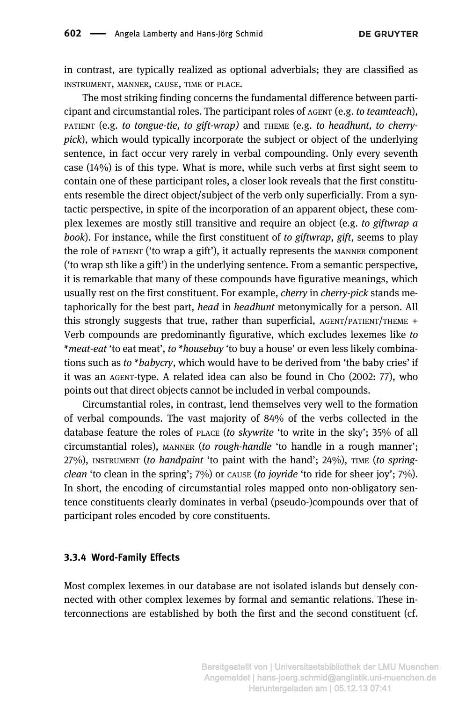in contrast, are typically realized as optional adverbials; they are classified as INSTRUMENT, MANNER, CAUSE, TIME or PLACE.

The most striking finding concerns the fundamental difference between participant and circumstantial roles. The participant roles of AGENT (e.g. to teamteach), PATIENT (e.g. to tongue-tie, to gift-wrap) and THEME (e.g. to headhunt, to cherrypick), which would typically incorporate the subject or object of the underlying sentence, in fact occur very rarely in verbal compounding. Only every seventh case (14%) is of this type. What is more, while such verbs at first sight seem to contain one of these participant roles, a closer look reveals that the first constituents resemble the direct object/subject of the verb only superficially. From a syntactic perspective, in spite of the incorporation of an apparent object, these complex lexemes are mostly still transitive and require an object (e.g. to giftwrap a book). For instance, while the first constituent of to giftwrap, gift, seems to play the role of PATIENT ('to wrap a gift'), it actually represents the MANNER component ('to wrap sth like a gift') in the underlying sentence. From a semantic perspective, it is remarkable that many of these compounds have figurative meanings, which usually rest on the first constituent. For example, *cherry* in *cherry-pick* stands metaphorically for the best part, head in headhunt metonymically for a person. All this strongly suggests that true, rather than superficial,  $A\text{GENT}/PA\text{THEME}$  + Verb compounds are predominantly figurative, which excludes lexemes like to \*meat-eat 'to eat meat', to \*housebuy 'to buy a house' or even less likely combinations such as to \*babycry, which would have to be derived from 'the baby cries' if it was an AGENT-type. A related idea can also be found in Cho (2002: 77), who points out that direct objects cannot be included in verbal compounds.

Circumstantial roles, in contrast, lend themselves very well to the formation of verbal compounds. The vast majority of 84% of the verbs collected in the database feature the roles of PLACE (to skywrite 'to write in the sky'; 35% of all circumstantial roles), MANNER (to rough-handle 'to handle in a rough manner'; 27%), INSTRUMENT (to handpaint 'to paint with the hand'; 24%), TIME (to spring*clean* 'to clean in the spring';  $7\%$ ) or cause (to joyride 'to ride for sheer joy';  $7\%$ ). In short, the encoding of circumstantial roles mapped onto non-obligatory sentence constituents clearly dominates in verbal (pseudo‑)compounds over that of participant roles encoded by core constituents.

#### 3.3.4 Word-Family Effects

Most complex lexemes in our database are not isolated islands but densely connected with other complex lexemes by formal and semantic relations. These interconnections are established by both the first and the second constituent (cf.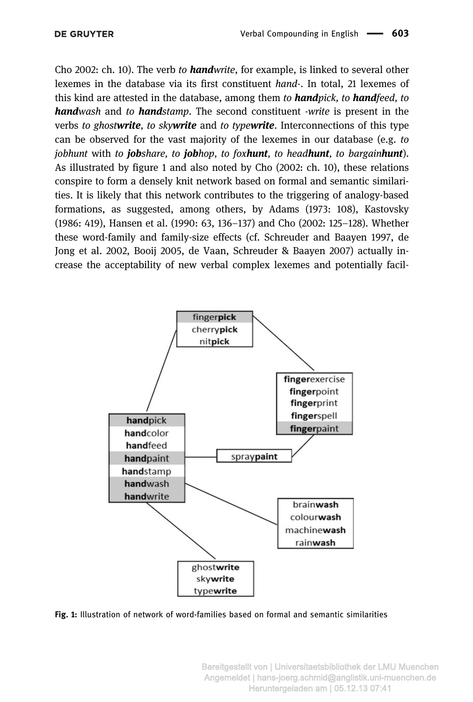Cho 2002: ch. 10). The verb to **hand**write, for example, is linked to several other lexemes in the database via its first constituent hand-. In total, 21 lexemes of this kind are attested in the database, among them to **hand**pick, to **hand**feed, to handwash and to handstamp. The second constituent *-write* is present in the verbs to ghostwrite, to skywrite and to typewrite. Interconnections of this type can be observed for the vast majority of the lexemes in our database (e.g. to  $i$ obhunt with to *iobshare, to jobhop, to foxhunt, to headhunt, to bargainhunt***).** As illustrated by figure 1 and also noted by Cho (2002: ch. 10), these relations conspire to form a densely knit network based on formal and semantic similarities. It is likely that this network contributes to the triggering of analogy-based formations, as suggested, among others, by Adams (1973: 108), Kastovsky (1986: 419), Hansen et al. (1990: 63, 136–137) and Cho (2002: 125–128). Whether these word-family and family-size effects (cf. Schreuder and Baayen 1997, de Jong et al. 2002, Booij 2005, de Vaan, Schreuder & Baayen 2007) actually increase the acceptability of new verbal complex lexemes and potentially facil-



Fig. 1: Illustration of network of word-families based on formal and semantic similarities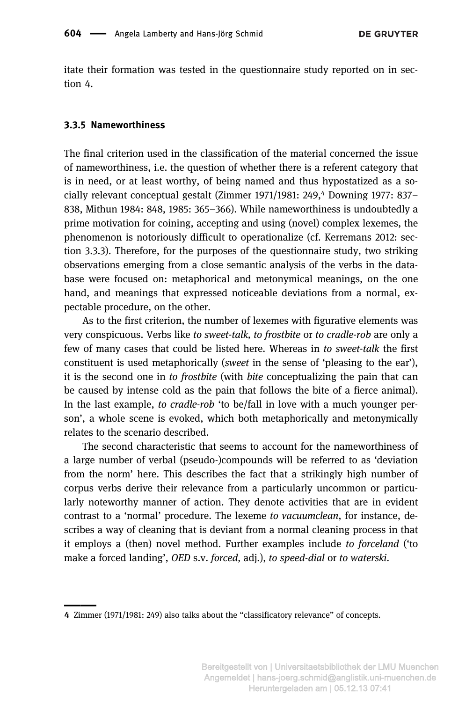itate their formation was tested in the questionnaire study reported on in section 4.

#### 3.3.5 Nameworthiness

The final criterion used in the classification of the material concerned the issue of nameworthiness, i.e. the question of whether there is a referent category that is in need, or at least worthy, of being named and thus hypostatized as a socially relevant conceptual gestalt (Zimmer 1971/1981: 249,4 Downing 1977: 837– 838, Mithun 1984: 848, 1985: 365–366). While nameworthiness is undoubtedly a prime motivation for coining, accepting and using (novel) complex lexemes, the phenomenon is notoriously difficult to operationalize (cf. Kerremans 2012: section 3.3.3). Therefore, for the purposes of the questionnaire study, two striking observations emerging from a close semantic analysis of the verbs in the database were focused on: metaphorical and metonymical meanings, on the one hand, and meanings that expressed noticeable deviations from a normal, expectable procedure, on the other.

As to the first criterion, the number of lexemes with figurative elements was very conspicuous. Verbs like to sweet-talk, to frostbite or to cradle-rob are only a few of many cases that could be listed here. Whereas in to sweet-talk the first constituent is used metaphorically (sweet in the sense of 'pleasing to the ear'), it is the second one in to frostbite (with bite conceptualizing the pain that can be caused by intense cold as the pain that follows the bite of a fierce animal). In the last example, to cradle-rob 'to be/fall in love with a much younger person', a whole scene is evoked, which both metaphorically and metonymically relates to the scenario described.

The second characteristic that seems to account for the nameworthiness of a large number of verbal (pseudo‑)compounds will be referred to as 'deviation from the norm' here. This describes the fact that a strikingly high number of corpus verbs derive their relevance from a particularly uncommon or particularly noteworthy manner of action. They denote activities that are in evident contrast to a 'normal' procedure. The lexeme to vacuumclean, for instance, describes a way of cleaning that is deviant from a normal cleaning process in that it employs a (then) novel method. Further examples include to forceland ('to make a forced landing', OED s.v. forced, adj.), to speed-dial or to waterski.

<sup>4</sup> Zimmer (1971/1981: 249) also talks about the "classificatory relevance" of concepts.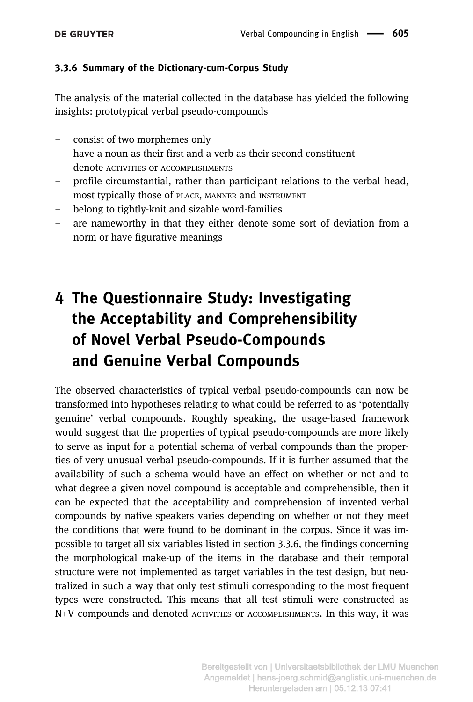### 3.3.6 Summary of the Dictionary-cum-Corpus Study

The analysis of the material collected in the database has yielded the following insights: prototypical verbal pseudo-compounds

- consist of two morphemes only
- have a noun as their first and a verb as their second constituent
- denote ACTIVITIES or ACCOMPLISHMENTS
- profile circumstantial, rather than participant relations to the verbal head, most typically those of PLACE, MANNER and INSTRUMENT
- belong to tightly-knit and sizable word-families
- are nameworthy in that they either denote some sort of deviation from a norm or have figurative meanings

# 4 The Questionnaire Study: Investigating the Acceptability and Comprehensibility of Novel Verbal Pseudo-Compounds and Genuine Verbal Compounds

The observed characteristics of typical verbal pseudo-compounds can now be transformed into hypotheses relating to what could be referred to as 'potentially genuine' verbal compounds. Roughly speaking, the usage-based framework would suggest that the properties of typical pseudo-compounds are more likely to serve as input for a potential schema of verbal compounds than the properties of very unusual verbal pseudo-compounds. If it is further assumed that the availability of such a schema would have an effect on whether or not and to what degree a given novel compound is acceptable and comprehensible, then it can be expected that the acceptability and comprehension of invented verbal compounds by native speakers varies depending on whether or not they meet the conditions that were found to be dominant in the corpus. Since it was impossible to target all six variables listed in section 3.3.6, the findings concerning the morphological make-up of the items in the database and their temporal structure were not implemented as target variables in the test design, but neutralized in such a way that only test stimuli corresponding to the most frequent types were constructed. This means that all test stimuli were constructed as N+V compounds and denoted ACTIVITIES or ACCOMPLISHMENTS. In this way, it was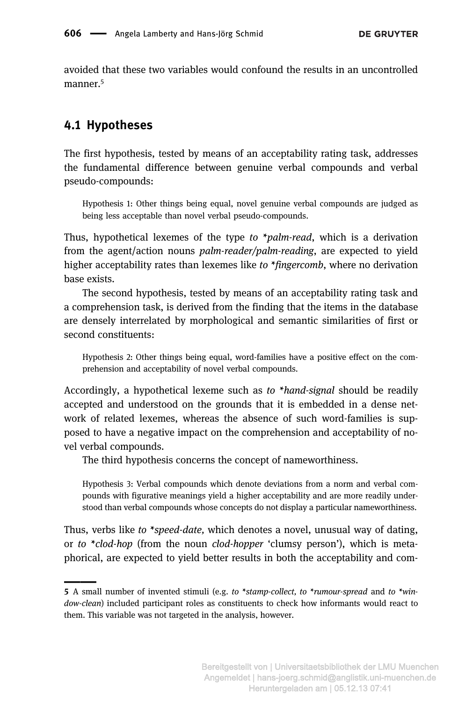avoided that these two variables would confound the results in an uncontrolled manner.5

## 4.1 Hypotheses

The first hypothesis, tested by means of an acceptability rating task, addresses the fundamental difference between genuine verbal compounds and verbal pseudo-compounds:

Hypothesis 1: Other things being equal, novel genuine verbal compounds are judged as being less acceptable than novel verbal pseudo-compounds.

Thus, hypothetical lexemes of the type to  $*palm-read$ , which is a derivation from the agent/action nouns palm-reader/palm-reading, are expected to yield higher acceptability rates than lexemes like to \*fingercomb, where no derivation base exists.

The second hypothesis, tested by means of an acceptability rating task and a comprehension task, is derived from the finding that the items in the database are densely interrelated by morphological and semantic similarities of first or second constituents:

Hypothesis 2: Other things being equal, word-families have a positive effect on the comprehension and acceptability of novel verbal compounds.

Accordingly, a hypothetical lexeme such as to \*hand-signal should be readily accepted and understood on the grounds that it is embedded in a dense network of related lexemes, whereas the absence of such word-families is supposed to have a negative impact on the comprehension and acceptability of novel verbal compounds.

The third hypothesis concerns the concept of nameworthiness.

Hypothesis 3: Verbal compounds which denote deviations from a norm and verbal compounds with figurative meanings yield a higher acceptability and are more readily understood than verbal compounds whose concepts do not display a particular nameworthiness.

Thus, verbs like to \*speed-date, which denotes a novel, unusual way of dating, or to \*clod-hop (from the noun clod-hopper 'clumsy person'), which is metaphorical, are expected to yield better results in both the acceptability and com-

<sup>5</sup> A small number of invented stimuli (e.g. to \*stamp-collect, to \*rumour-spread and to \*window-clean) included participant roles as constituents to check how informants would react to them. This variable was not targeted in the analysis, however.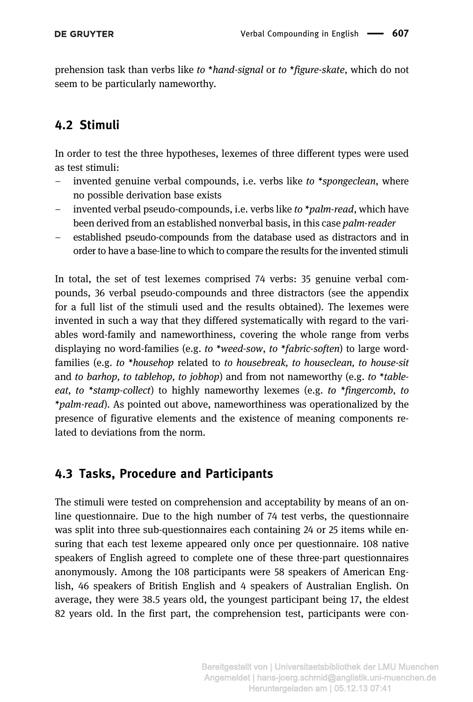prehension task than verbs like to \*hand-signal or to \*figure-skate, which do not seem to be particularly nameworthy.

## 4.2 Stimuli

In order to test the three hypotheses, lexemes of three different types were used as test stimuli:

- invented genuine verbal compounds, i.e. verbs like to \*spongeclean, where no possible derivation base exists
- invented verbal pseudo-compounds, i.e. verbs like to \*palm-read, which have been derived from an established nonverbal basis, in this case palm-reader
- established pseudo-compounds from the database used as distractors and in order to have a base-line to which to compare the results for the invented stimuli

In total, the set of test lexemes comprised 74 verbs: 35 genuine verbal compounds, 36 verbal pseudo-compounds and three distractors (see the appendix for a full list of the stimuli used and the results obtained). The lexemes were invented in such a way that they differed systematically with regard to the variables word-family and nameworthiness, covering the whole range from verbs displaying no word-families (e.g. to \*weed-sow, to \*fabric-soften) to large wordfamilies (e.g. to \*househop related to to housebreak, to houseclean, to house-sit and to barhop, to tablehop, to jobhop) and from not nameworthy (e.g. to  $*$ tableeat, to \*stamp-collect) to highly nameworthy lexemes (e.g. to \*fingercomb, to \*palm-read). As pointed out above, nameworthiness was operationalized by the presence of figurative elements and the existence of meaning components related to deviations from the norm.

## 4.3 Tasks, Procedure and Participants

The stimuli were tested on comprehension and acceptability by means of an online questionnaire. Due to the high number of 74 test verbs, the questionnaire was split into three sub-questionnaires each containing 24 or 25 items while ensuring that each test lexeme appeared only once per questionnaire. 108 native speakers of English agreed to complete one of these three-part questionnaires anonymously. Among the 108 participants were 58 speakers of American English, 46 speakers of British English and 4 speakers of Australian English. On average, they were 38.5 years old, the youngest participant being 17, the eldest 82 years old. In the first part, the comprehension test, participants were con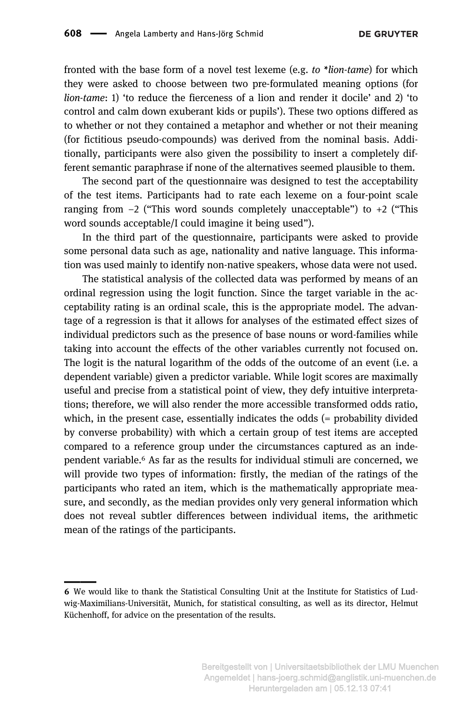fronted with the base form of a novel test lexeme (e.g. to  $*$ lion-tame) for which they were asked to choose between two pre-formulated meaning options (for lion-tame: 1) 'to reduce the fierceness of a lion and render it docile' and 2) 'to control and calm down exuberant kids or pupils'). These two options differed as to whether or not they contained a metaphor and whether or not their meaning (for fictitious pseudo-compounds) was derived from the nominal basis. Additionally, participants were also given the possibility to insert a completely different semantic paraphrase if none of the alternatives seemed plausible to them.

The second part of the questionnaire was designed to test the acceptability of the test items. Participants had to rate each lexeme on a four-point scale ranging from −2 ("This word sounds completely unacceptable") to +2 ("This word sounds acceptable/I could imagine it being used").

In the third part of the questionnaire, participants were asked to provide some personal data such as age, nationality and native language. This information was used mainly to identify non-native speakers, whose data were not used.

The statistical analysis of the collected data was performed by means of an ordinal regression using the logit function. Since the target variable in the acceptability rating is an ordinal scale, this is the appropriate model. The advantage of a regression is that it allows for analyses of the estimated effect sizes of individual predictors such as the presence of base nouns or word-families while taking into account the effects of the other variables currently not focused on. The logit is the natural logarithm of the odds of the outcome of an event (i.e. a dependent variable) given a predictor variable. While logit scores are maximally useful and precise from a statistical point of view, they defy intuitive interpretations; therefore, we will also render the more accessible transformed odds ratio, which, in the present case, essentially indicates the odds (= probability divided by converse probability) with which a certain group of test items are accepted compared to a reference group under the circumstances captured as an independent variable.6 As far as the results for individual stimuli are concerned, we will provide two types of information: firstly, the median of the ratings of the participants who rated an item, which is the mathematically appropriate measure, and secondly, as the median provides only very general information which does not reveal subtler differences between individual items, the arithmetic mean of the ratings of the participants.

<sup>6</sup> We would like to thank the Statistical Consulting Unit at the Institute for Statistics of Ludwig-Maximilians-Universität, Munich, for statistical consulting, as well as its director, Helmut Küchenhoff, for advice on the presentation of the results.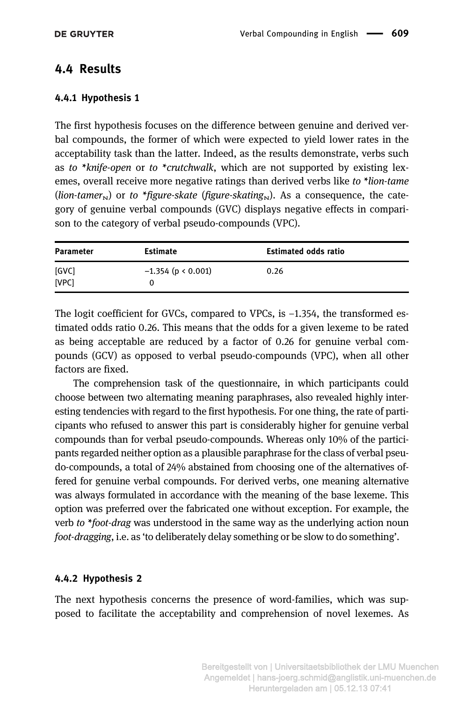## 4.4 Results

#### 4.4.1 Hypothesis 1

The first hypothesis focuses on the difference between genuine and derived verbal compounds, the former of which were expected to yield lower rates in the acceptability task than the latter. Indeed, as the results demonstrate, verbs such as to \*knife-open or to \*crutchwalk, which are not supported by existing lexemes, overall receive more negative ratings than derived verbs like to \*lion-tame (lion-tamer<sub>N</sub>) or to \*figure-skate (figure-skating<sub>N</sub>). As a consequence, the category of genuine verbal compounds (GVC) displays negative effects in comparison to the category of verbal pseudo-compounds (VPC).

| <b>Parameter</b> | Estimate             | <b>Estimated odds ratio</b> |  |
|------------------|----------------------|-----------------------------|--|
| [GVC]            | $-1.354$ (p < 0.001) | 0.26                        |  |
| [VPC]            | 0                    |                             |  |

The logit coefficient for GVCs, compared to VPCs, is −1.354, the transformed estimated odds ratio 0.26. This means that the odds for a given lexeme to be rated as being acceptable are reduced by a factor of 0.26 for genuine verbal compounds (GCV) as opposed to verbal pseudo-compounds (VPC), when all other factors are fixed.

The comprehension task of the questionnaire, in which participants could choose between two alternating meaning paraphrases, also revealed highly interesting tendencies with regard to the first hypothesis. For one thing, the rate of participants who refused to answer this part is considerably higher for genuine verbal compounds than for verbal pseudo-compounds. Whereas only 10% of the participants regarded neither option as a plausible paraphrase for the class of verbal pseudo-compounds, a total of 24% abstained from choosing one of the alternatives offered for genuine verbal compounds. For derived verbs, one meaning alternative was always formulated in accordance with the meaning of the base lexeme. This option was preferred over the fabricated one without exception. For example, the verb to \*foot-drag was understood in the same way as the underlying action noun foot-dragging, i.e. as 'to deliberately delay something or be slow to do something'.

#### 4.4.2 Hypothesis 2

The next hypothesis concerns the presence of word-families, which was supposed to facilitate the acceptability and comprehension of novel lexemes. As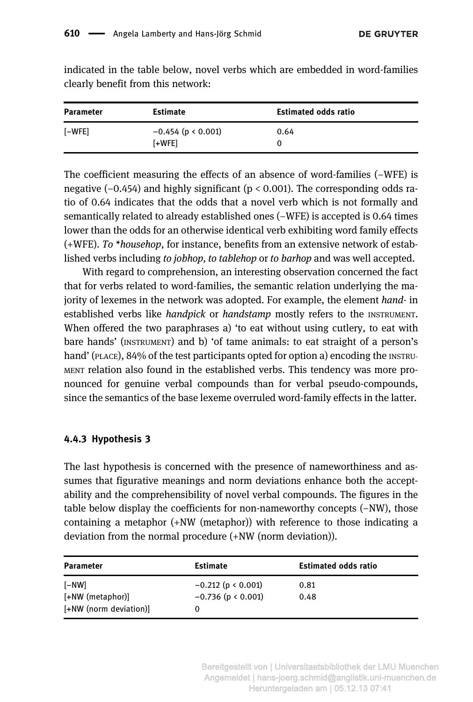| <b>Parameter</b> | <b>Estimate</b>                | <b>Estimated odds ratio</b> |
|------------------|--------------------------------|-----------------------------|
| [-WFE]           | $-0.454$ (p < 0.001)<br>[+WFE] | 0.64                        |

indicated in the table below, novel verbs which are embedded in word-families clearly benefit from this network:

The coefficient measuring the effects of an absence of word-families (−WFE) is negative (−0.454) and highly significant (p < 0.001). The corresponding odds ratio of 0.64 indicates that the odds that a novel verb which is not formally and semantically related to already established ones (−WFE) is accepted is 0.64 times lower than the odds for an otherwise identical verb exhibiting word family effects (+WFE). To \*househop, for instance, benefits from an extensive network of established verbs including to jobhop, to tablehop or to barhop and was well accepted.

With regard to comprehension, an interesting observation concerned the fact that for verbs related to word-families, the semantic relation underlying the majority of lexemes in the network was adopted. For example, the element hand- in established verbs like *handpick* or *handstamp* mostly refers to the INSTRUMENT. When offered the two paraphrases a) 'to eat without using cutlery, to eat with bare hands' (INSTRUMENT) and b) 'of tame animals: to eat straight of a person's hand' (PLACE), 84% of the test participants opted for option a) encoding the INSTRU-MENT relation also found in the established verbs. This tendency was more pronounced for genuine verbal compounds than for verbal pseudo-compounds, since the semantics of the base lexeme overruled word-family effects in the latter.

#### 4.4.3 Hypothesis 3

The last hypothesis is concerned with the presence of nameworthiness and assumes that figurative meanings and norm deviations enhance both the acceptability and the comprehensibility of novel verbal compounds. The figures in the table below display the coefficients for non-nameworthy concepts (−NW), those containing a metaphor (+NW (metaphor)) with reference to those indicating a deviation from the normal procedure (+NW (norm deviation)).

| <b>Parameter</b>                           | <b>Estimate</b>           | <b>Estimated odds ratio</b> |
|--------------------------------------------|---------------------------|-----------------------------|
| $[-NW]$                                    | $-0.212$ (p < 0.001)      | 0.81                        |
| [+NW (metaphor)]<br>[+NW (norm deviation)] | $-0.736$ (p < 0.001)<br>0 | 0.48                        |

Bereitgestellt von | Universitaetsbibliothek der LMU Muenchen Angemeldet | hans-joerg.schmid@anglistik.uni-muenchen.de Heruntergeladen am | 05.12.13 07:41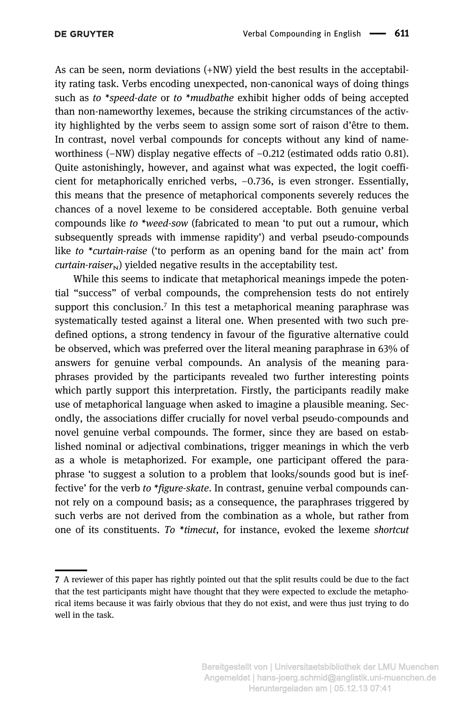As can be seen, norm deviations (+NW) yield the best results in the acceptability rating task. Verbs encoding unexpected, non-canonical ways of doing things such as to \*speed-date or to \*mudbathe exhibit higher odds of being accepted than non-nameworthy lexemes, because the striking circumstances of the activity highlighted by the verbs seem to assign some sort of raison d'être to them. In contrast, novel verbal compounds for concepts without any kind of nameworthiness (−NW) display negative effects of −0.212 (estimated odds ratio 0.81). Quite astonishingly, however, and against what was expected, the logit coefficient for metaphorically enriched verbs, −0.736, is even stronger. Essentially, this means that the presence of metaphorical components severely reduces the chances of a novel lexeme to be considered acceptable. Both genuine verbal compounds like to \*weed-sow (fabricated to mean 'to put out a rumour, which subsequently spreads with immense rapidity') and verbal pseudo-compounds like to <sup>\*</sup>curtain-raise ('to perform as an opening band for the main act' from  $\textit{curtain-raiser}_{\text{N}}$ ) yielded negative results in the acceptability test.

While this seems to indicate that metaphorical meanings impede the potential "success" of verbal compounds, the comprehension tests do not entirely support this conclusion.<sup>7</sup> In this test a metaphorical meaning paraphrase was systematically tested against a literal one. When presented with two such predefined options, a strong tendency in favour of the figurative alternative could be observed, which was preferred over the literal meaning paraphrase in 63% of answers for genuine verbal compounds. An analysis of the meaning paraphrases provided by the participants revealed two further interesting points which partly support this interpretation. Firstly, the participants readily make use of metaphorical language when asked to imagine a plausible meaning. Secondly, the associations differ crucially for novel verbal pseudo-compounds and novel genuine verbal compounds. The former, since they are based on established nominal or adjectival combinations, trigger meanings in which the verb as a whole is metaphorized. For example, one participant offered the paraphrase 'to suggest a solution to a problem that looks/sounds good but is ineffective' for the verb to \*figure-skate. In contrast, genuine verbal compounds cannot rely on a compound basis; as a consequence, the paraphrases triggered by such verbs are not derived from the combination as a whole, but rather from one of its constituents. To \*timecut, for instance, evoked the lexeme shortcut

<sup>7</sup> A reviewer of this paper has rightly pointed out that the split results could be due to the fact that the test participants might have thought that they were expected to exclude the metaphorical items because it was fairly obvious that they do not exist, and were thus just trying to do well in the task.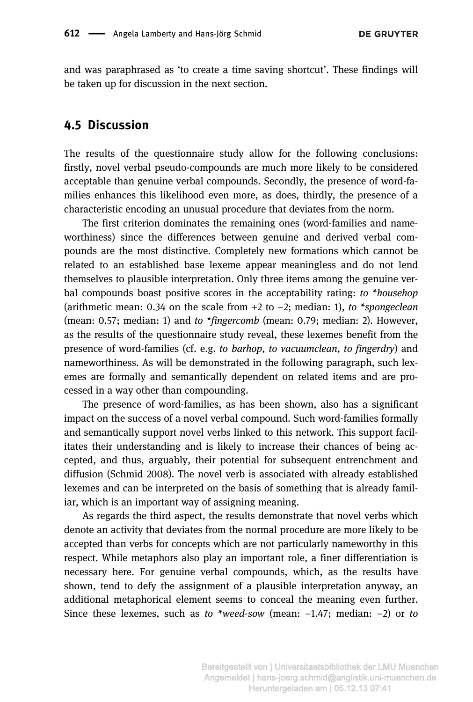and was paraphrased as 'to create a time saving shortcut'. These findings will be taken up for discussion in the next section.

### 4.5 Discussion

The results of the questionnaire study allow for the following conclusions: firstly, novel verbal pseudo-compounds are much more likely to be considered acceptable than genuine verbal compounds. Secondly, the presence of word-families enhances this likelihood even more, as does, thirdly, the presence of a characteristic encoding an unusual procedure that deviates from the norm.

The first criterion dominates the remaining ones (word-families and nameworthiness) since the differences between genuine and derived verbal compounds are the most distinctive. Completely new formations which cannot be related to an established base lexeme appear meaningless and do not lend themselves to plausible interpretation. Only three items among the genuine verbal compounds boast positive scores in the acceptability rating: to \*househop (arithmetic mean: 0.34 on the scale from +2 to −2; median: 1), to \*spongeclean (mean:  $0.57$ ; median: 1) and to  $*fingercomb$  (mean:  $0.79$ ; median: 2). However, as the results of the questionnaire study reveal, these lexemes benefit from the presence of word-families (cf. e.g. to barhop, to vacuumclean, to fingerdry) and nameworthiness. As will be demonstrated in the following paragraph, such lexemes are formally and semantically dependent on related items and are processed in a way other than compounding.

The presence of word-families, as has been shown, also has a significant impact on the success of a novel verbal compound. Such word-families formally and semantically support novel verbs linked to this network. This support facilitates their understanding and is likely to increase their chances of being accepted, and thus, arguably, their potential for subsequent entrenchment and diffusion (Schmid 2008). The novel verb is associated with already established lexemes and can be interpreted on the basis of something that is already familiar, which is an important way of assigning meaning.

As regards the third aspect, the results demonstrate that novel verbs which denote an activity that deviates from the normal procedure are more likely to be accepted than verbs for concepts which are not particularly nameworthy in this respect. While metaphors also play an important role, a finer differentiation is necessary here. For genuine verbal compounds, which, as the results have shown, tend to defy the assignment of a plausible interpretation anyway, an additional metaphorical element seems to conceal the meaning even further. Since these lexemes, such as to \*weed-sow (mean: −1.47; median: −2) or to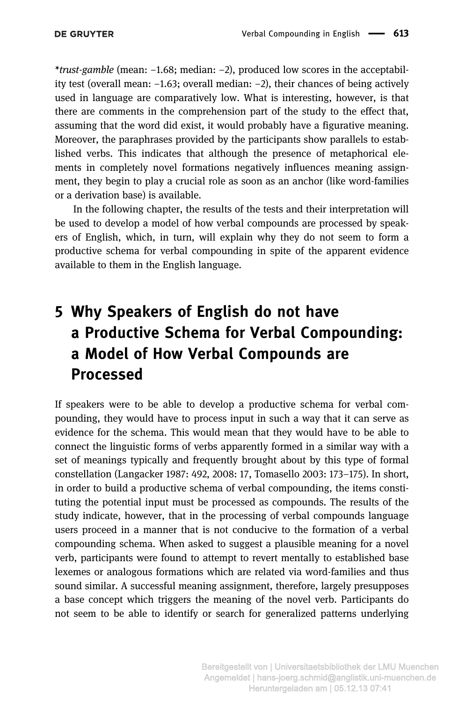\*trust-gamble (mean: −1.68; median: −2), produced low scores in the acceptability test (overall mean: −1.63; overall median: −2), their chances of being actively used in language are comparatively low. What is interesting, however, is that there are comments in the comprehension part of the study to the effect that, assuming that the word did exist, it would probably have a figurative meaning. Moreover, the paraphrases provided by the participants show parallels to established verbs. This indicates that although the presence of metaphorical elements in completely novel formations negatively influences meaning assignment, they begin to play a crucial role as soon as an anchor (like word-families or a derivation base) is available.

In the following chapter, the results of the tests and their interpretation will be used to develop a model of how verbal compounds are processed by speakers of English, which, in turn, will explain why they do not seem to form a productive schema for verbal compounding in spite of the apparent evidence available to them in the English language.

# 5 Why Speakers of English do not have a Productive Schema for Verbal Compounding: a Model of How Verbal Compounds are Processed

If speakers were to be able to develop a productive schema for verbal compounding, they would have to process input in such a way that it can serve as evidence for the schema. This would mean that they would have to be able to connect the linguistic forms of verbs apparently formed in a similar way with a set of meanings typically and frequently brought about by this type of formal constellation (Langacker 1987: 492, 2008: 17, Tomasello 2003: 173–175). In short, in order to build a productive schema of verbal compounding, the items constituting the potential input must be processed as compounds. The results of the study indicate, however, that in the processing of verbal compounds language users proceed in a manner that is not conducive to the formation of a verbal compounding schema. When asked to suggest a plausible meaning for a novel verb, participants were found to attempt to revert mentally to established base lexemes or analogous formations which are related via word-families and thus sound similar. A successful meaning assignment, therefore, largely presupposes a base concept which triggers the meaning of the novel verb. Participants do not seem to be able to identify or search for generalized patterns underlying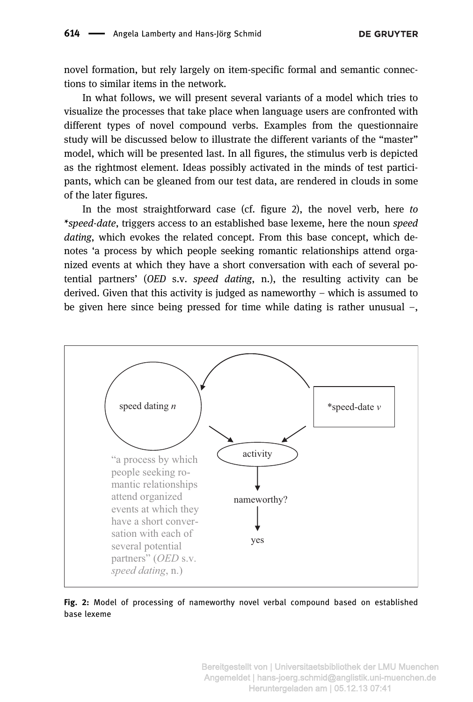novel formation, but rely largely on item-specific formal and semantic connections to similar items in the network.

In what follows, we will present several variants of a model which tries to visualize the processes that take place when language users are confronted with different types of novel compound verbs. Examples from the questionnaire study will be discussed below to illustrate the different variants of the "master" model, which will be presented last. In all figures, the stimulus verb is depicted as the rightmost element. Ideas possibly activated in the minds of test participants, which can be gleaned from our test data, are rendered in clouds in some of the later figures.

In the most straightforward case (cf. figure 2), the novel verb, here to \*speed-date, triggers access to an established base lexeme, here the noun speed dating, which evokes the related concept. From this base concept, which denotes 'a process by which people seeking romantic relationships attend organized events at which they have a short conversation with each of several potential partners' (OED s.v. speed dating, n.), the resulting activity can be derived. Given that this activity is judged as nameworthy – which is assumed to be given here since being pressed for time while dating is rather unusual –,



Fig. 2: Model of processing of nameworthy novel verbal compound based on established base lexeme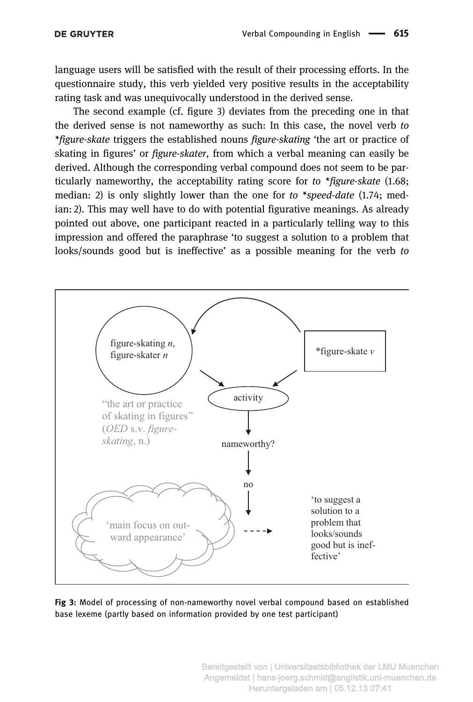language users will be satisfied with the result of their processing efforts. In the questionnaire study, this verb yielded very positive results in the acceptability rating task and was unequivocally understood in the derived sense.

The second example (cf. figure 3) deviates from the preceding one in that the derived sense is not nameworthy as such: In this case, the novel verb to \*figure-skate triggers the established nouns figure-skating 'the art or practice of skating in figures' or *figure-skater*, from which a verbal meaning can easily be derived. Although the corresponding verbal compound does not seem to be particularly nameworthy, the acceptability rating score for to  $*$ figure-skate (1.68; median: 2) is only slightly lower than the one for to \*speed-date  $(1.74;$  median: 2). This may well have to do with potential figurative meanings. As already pointed out above, one participant reacted in a particularly telling way to this impression and offered the paraphrase 'to suggest a solution to a problem that looks/sounds good but is ineffective' as a possible meaning for the verb to



Fig 3: Model of processing of non-nameworthy novel verbal compound based on established base lexeme (partly based on information provided by one test participant)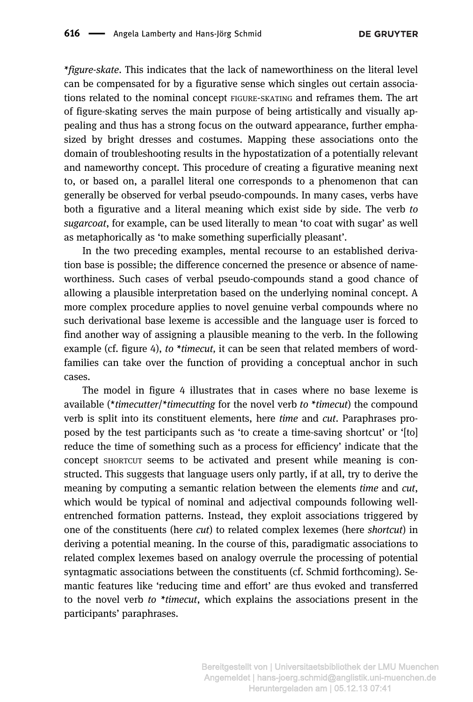\*figure-skate. This indicates that the lack of nameworthiness on the literal level can be compensated for by a figurative sense which singles out certain associations related to the nominal concept FIGURE-SKATING and reframes them. The art of figure-skating serves the main purpose of being artistically and visually appealing and thus has a strong focus on the outward appearance, further emphasized by bright dresses and costumes. Mapping these associations onto the domain of troubleshooting results in the hypostatization of a potentially relevant and nameworthy concept. This procedure of creating a figurative meaning next to, or based on, a parallel literal one corresponds to a phenomenon that can generally be observed for verbal pseudo-compounds. In many cases, verbs have both a figurative and a literal meaning which exist side by side. The verb to sugarcoat, for example, can be used literally to mean 'to coat with sugar' as well as metaphorically as 'to make something superficially pleasant'.

In the two preceding examples, mental recourse to an established derivation base is possible; the difference concerned the presence or absence of nameworthiness. Such cases of verbal pseudo-compounds stand a good chance of allowing a plausible interpretation based on the underlying nominal concept. A more complex procedure applies to novel genuine verbal compounds where no such derivational base lexeme is accessible and the language user is forced to find another way of assigning a plausible meaning to the verb. In the following example (cf. figure 4), to \*timecut, it can be seen that related members of wordfamilies can take over the function of providing a conceptual anchor in such cases.

The model in figure 4 illustrates that in cases where no base lexeme is available (\*timecutter/\*timecutting for the novel verb to \*timecut) the compound verb is split into its constituent elements, here time and cut. Paraphrases proposed by the test participants such as 'to create a time-saving shortcut' or '[to] reduce the time of something such as a process for efficiency' indicate that the concept SHORTCUT seems to be activated and present while meaning is constructed. This suggests that language users only partly, if at all, try to derive the meaning by computing a semantic relation between the elements time and cut, which would be typical of nominal and adjectival compounds following wellentrenched formation patterns. Instead, they exploit associations triggered by one of the constituents (here cut) to related complex lexemes (here shortcut) in deriving a potential meaning. In the course of this, paradigmatic associations to related complex lexemes based on analogy overrule the processing of potential syntagmatic associations between the constituents (cf. Schmid forthcoming). Semantic features like 'reducing time and effort' are thus evoked and transferred to the novel verb to \*timecut, which explains the associations present in the participants' paraphrases.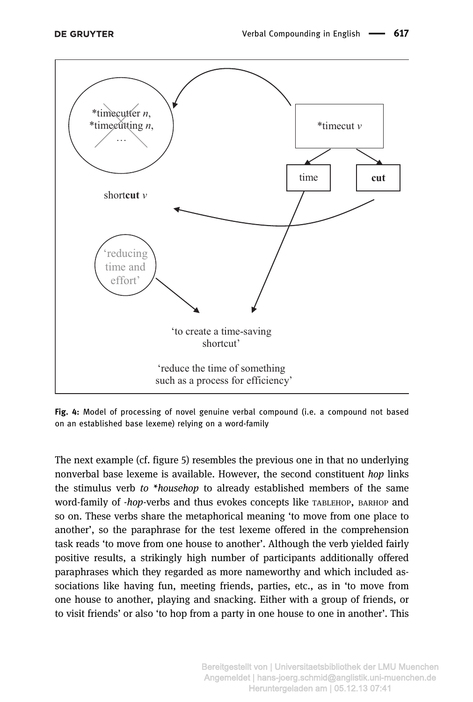

Fig. 4: Model of processing of novel genuine verbal compound (i.e. a compound not based on an established base lexeme) relying on a word-family

The next example (cf. figure 5) resembles the previous one in that no underlying nonverbal base lexeme is available. However, the second constituent hop links the stimulus verb to \*househop to already established members of the same word-family of -hop-verbs and thus evokes concepts like TABLEHOP, BARHOP and so on. These verbs share the metaphorical meaning 'to move from one place to another', so the paraphrase for the test lexeme offered in the comprehension task reads 'to move from one house to another'. Although the verb yielded fairly positive results, a strikingly high number of participants additionally offered paraphrases which they regarded as more nameworthy and which included associations like having fun, meeting friends, parties, etc., as in 'to move from one house to another, playing and snacking. Either with a group of friends, or to visit friends' or also 'to hop from a party in one house to one in another'. This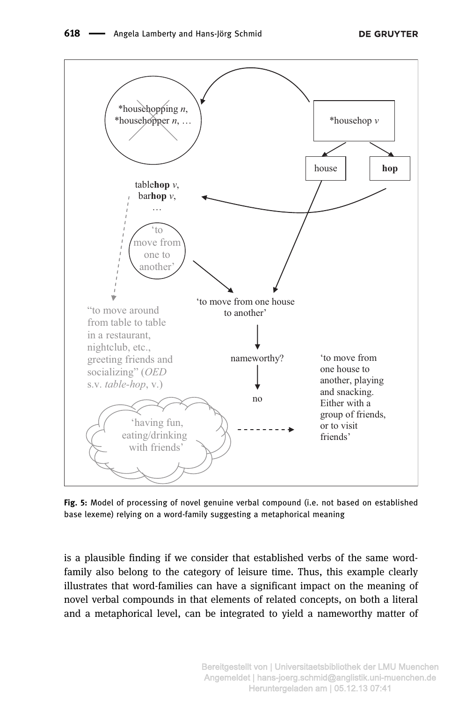

Fig. 5: Model of processing of novel genuine verbal compound (i.e. not based on established base lexeme) relying on a word-family suggesting a metaphorical meaning

is a plausible finding if we consider that established verbs of the same wordfamily also belong to the category of leisure time. Thus, this example clearly illustrates that word-families can have a significant impact on the meaning of novel verbal compounds in that elements of related concepts, on both a literal and a metaphorical level, can be integrated to yield a nameworthy matter of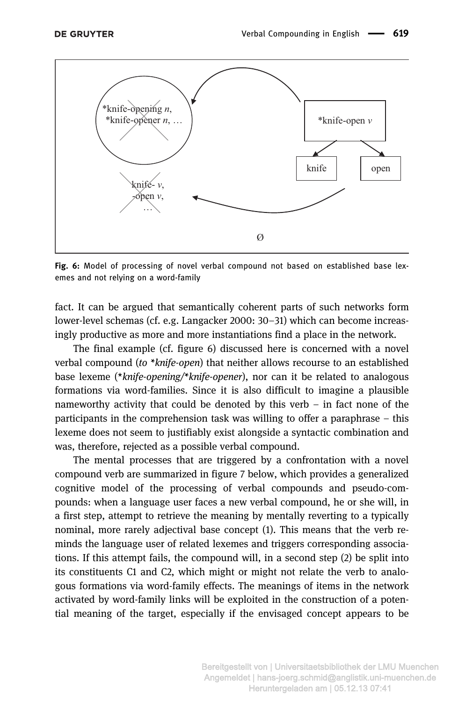

Fig. 6: Model of processing of novel verbal compound not based on established base lexemes and not relying on a word-family

fact. It can be argued that semantically coherent parts of such networks form lower-level schemas (cf. e.g. Langacker 2000: 30–31) which can become increasingly productive as more and more instantiations find a place in the network.

The final example (cf. figure 6) discussed here is concerned with a novel verbal compound (to \*knife-open) that neither allows recourse to an established base lexeme (\*knife-opening/\*knife-opener), nor can it be related to analogous formations via word-families. Since it is also difficult to imagine a plausible nameworthy activity that could be denoted by this verb – in fact none of the participants in the comprehension task was willing to offer a paraphrase – this lexeme does not seem to justifiably exist alongside a syntactic combination and was, therefore, rejected as a possible verbal compound.

The mental processes that are triggered by a confrontation with a novel compound verb are summarized in figure 7 below, which provides a generalized cognitive model of the processing of verbal compounds and pseudo-compounds: when a language user faces a new verbal compound, he or she will, in a first step, attempt to retrieve the meaning by mentally reverting to a typically nominal, more rarely adjectival base concept (1). This means that the verb reminds the language user of related lexemes and triggers corresponding associations. If this attempt fails, the compound will, in a second step (2) be split into its constituents C1 and C2, which might or might not relate the verb to analogous formations via word-family effects. The meanings of items in the network activated by word-family links will be exploited in the construction of a potential meaning of the target, especially if the envisaged concept appears to be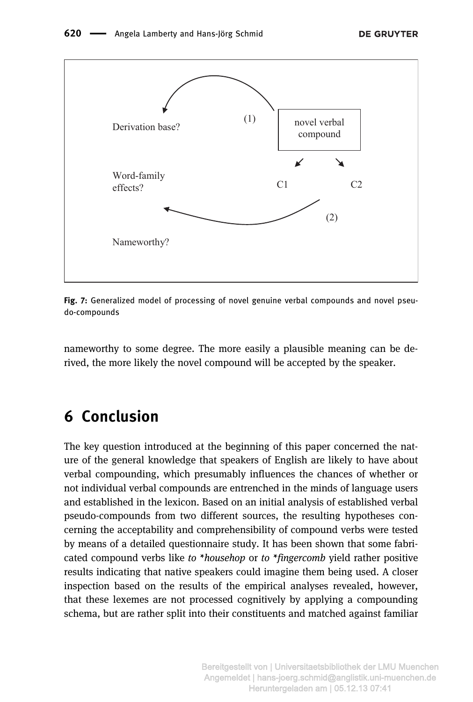

Fig. 7: Generalized model of processing of novel genuine verbal compounds and novel pseudo-compounds

nameworthy to some degree. The more easily a plausible meaning can be derived, the more likely the novel compound will be accepted by the speaker.

# 6 Conclusion

The key question introduced at the beginning of this paper concerned the nature of the general knowledge that speakers of English are likely to have about verbal compounding, which presumably influences the chances of whether or not individual verbal compounds are entrenched in the minds of language users and established in the lexicon. Based on an initial analysis of established verbal pseudo-compounds from two different sources, the resulting hypotheses concerning the acceptability and comprehensibility of compound verbs were tested by means of a detailed questionnaire study. It has been shown that some fabricated compound verbs like to \*househop or to \*fingercomb yield rather positive results indicating that native speakers could imagine them being used. A closer inspection based on the results of the empirical analyses revealed, however, that these lexemes are not processed cognitively by applying a compounding schema, but are rather split into their constituents and matched against familiar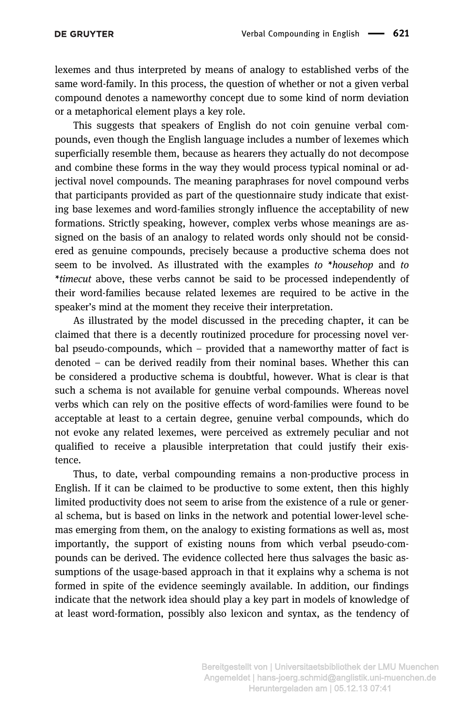lexemes and thus interpreted by means of analogy to established verbs of the same word-family. In this process, the question of whether or not a given verbal compound denotes a nameworthy concept due to some kind of norm deviation or a metaphorical element plays a key role.

This suggests that speakers of English do not coin genuine verbal compounds, even though the English language includes a number of lexemes which superficially resemble them, because as hearers they actually do not decompose and combine these forms in the way they would process typical nominal or adjectival novel compounds. The meaning paraphrases for novel compound verbs that participants provided as part of the questionnaire study indicate that existing base lexemes and word-families strongly influence the acceptability of new formations. Strictly speaking, however, complex verbs whose meanings are assigned on the basis of an analogy to related words only should not be considered as genuine compounds, precisely because a productive schema does not seem to be involved. As illustrated with the examples to \*househop and to \*timecut above, these verbs cannot be said to be processed independently of their word-families because related lexemes are required to be active in the speaker's mind at the moment they receive their interpretation.

As illustrated by the model discussed in the preceding chapter, it can be claimed that there is a decently routinized procedure for processing novel verbal pseudo-compounds, which – provided that a nameworthy matter of fact is denoted – can be derived readily from their nominal bases. Whether this can be considered a productive schema is doubtful, however. What is clear is that such a schema is not available for genuine verbal compounds. Whereas novel verbs which can rely on the positive effects of word-families were found to be acceptable at least to a certain degree, genuine verbal compounds, which do not evoke any related lexemes, were perceived as extremely peculiar and not qualified to receive a plausible interpretation that could justify their existence.

Thus, to date, verbal compounding remains a non-productive process in English. If it can be claimed to be productive to some extent, then this highly limited productivity does not seem to arise from the existence of a rule or general schema, but is based on links in the network and potential lower-level schemas emerging from them, on the analogy to existing formations as well as, most importantly, the support of existing nouns from which verbal pseudo-compounds can be derived. The evidence collected here thus salvages the basic assumptions of the usage-based approach in that it explains why a schema is not formed in spite of the evidence seemingly available. In addition, our findings indicate that the network idea should play a key part in models of knowledge of at least word-formation, possibly also lexicon and syntax, as the tendency of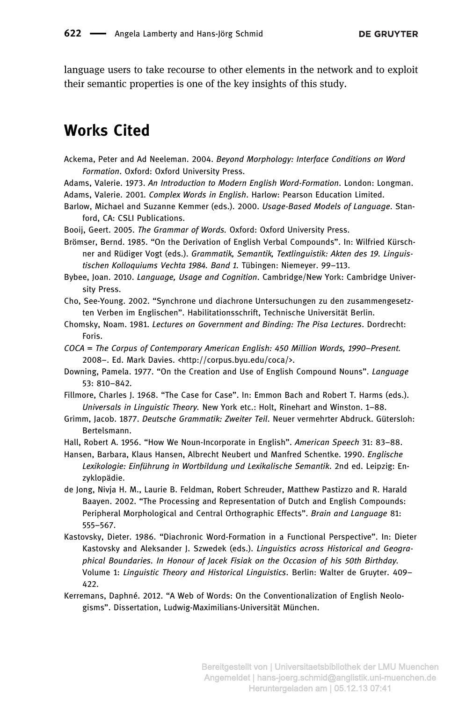language users to take recourse to other elements in the network and to exploit their semantic properties is one of the key insights of this study.

## Works Cited

- Ackema, Peter and Ad Neeleman. 2004. Beyond Morphology: Interface Conditions on Word Formation. Oxford: Oxford University Press.
- Adams, Valerie. 1973. An Introduction to Modern English Word-Formation. London: Longman. Adams, Valerie. 2001. Complex Words in English. Harlow: Pearson Education Limited.
- Barlow, Michael and Suzanne Kemmer (eds.). 2000. Usage-Based Models of Language. Stanford, CA: CSLI Publications.
- Booij, Geert. 2005. The Grammar of Words. Oxford: Oxford University Press.

Brömser, Bernd. 1985. "On the Derivation of English Verbal Compounds". In: Wilfried Kürschner and Rüdiger Vogt (eds.). Grammatik, Semantik, Textlinguistik: Akten des 19. Linguistischen Kolloquiums Vechta 1984. Band 1. Tübingen: Niemeyer. 99–113.

Bybee, Joan. 2010. Language, Usage and Cognition. Cambridge/New York: Cambridge University Press.

Cho, See-Young. 2002. "Synchrone und diachrone Untersuchungen zu den zusammengesetzten Verben im Englischen". Habilitationsschrift, Technische Universität Berlin.

Chomsky, Noam. 1981. Lectures on Government and Binding: The Pisa Lectures. Dordrecht: Foris.

COCA = The Corpus of Contemporary American English: 450 Million Words, 1990–Present. 2008–. Ed. Mark Davies. <http://corpus.byu.edu/coca/>.

Downing, Pamela. 1977. "On the Creation and Use of English Compound Nouns". Language 53: 810–842.

Fillmore, Charles J. 1968. "The Case for Case". In: Emmon Bach and Robert T. Harms (eds.). Universals in Linguistic Theory. New York etc.: Holt, Rinehart and Winston. 1–88.

- Grimm, Jacob. 1877. Deutsche Grammatik: Zweiter Teil. Neuer vermehrter Abdruck. Gütersloh: Bertelsmann.
- Hall, Robert A. 1956. "How We Noun-Incorporate in English". American Speech 31: 83–88.
- Hansen, Barbara, Klaus Hansen, Albrecht Neubert und Manfred Schentke. 1990. Englische Lexikologie: Einführung in Wortbildung und Lexikalische Semantik. 2nd ed. Leipzig: Enzyklopädie.
- de Jong, Nivja H. M., Laurie B. Feldman, Robert Schreuder, Matthew Pastizzo and R. Harald Baayen. 2002. "The Processing and Representation of Dutch and English Compounds: Peripheral Morphological and Central Orthographic Effects". Brain and Language 81: 555–567.
- Kastovsky, Dieter. 1986. "Diachronic Word-Formation in a Functional Perspective". In: Dieter Kastovsky and Aleksander J. Szwedek (eds.). Linguistics across Historical and Geographical Boundaries. In Honour of Jacek Fisiak on the Occasion of his 50th Birthday. Volume 1: Linguistic Theory and Historical Linguistics. Berlin: Walter de Gruyter. 409– 422.
- Kerremans, Daphné. 2012. "A Web of Words: On the Conventionalization of English Neologisms". Dissertation, Ludwig-Maximilians-Universität München.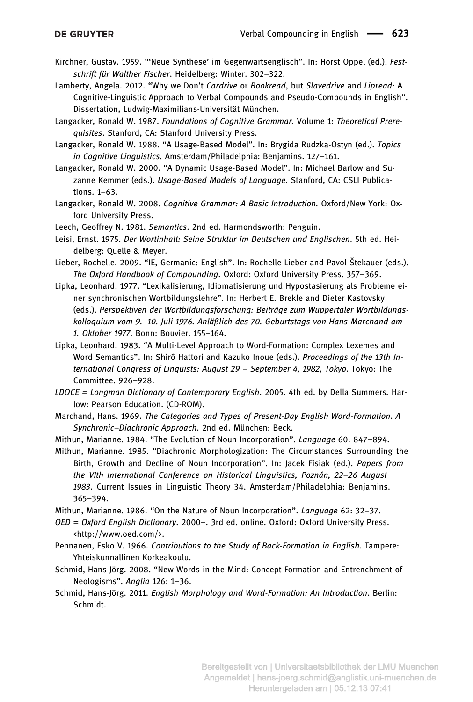- Kirchner, Gustav. 1959. "'Neue Synthese' im Gegenwartsenglisch". In: Horst Oppel (ed.). Festschrift für Walther Fischer. Heidelberg: Winter. 302–322.
- Lamberty, Angela. 2012. "Why we Don't Cardrive or Bookread, but Slavedrive and Lipread: A Cognitive-Linguistic Approach to Verbal Compounds and Pseudo-Compounds in English". Dissertation, Ludwig-Maximilians-Universität München.
- Langacker, Ronald W. 1987. Foundations of Cognitive Grammar. Volume 1: Theoretical Prerequisites. Stanford, CA: Stanford University Press.
- Langacker, Ronald W. 1988. "A Usage-Based Model". In: Brygida Rudzka-Ostyn (ed.). Topics in Coanitive Linguistics. Amsterdam/Philadelphia: Benjamins. 127-161.
- Langacker, Ronald W. 2000. "A Dynamic Usage-Based Model". In: Michael Barlow and Suzanne Kemmer (eds.). Usage-Based Models of Language. Stanford, CA: CSLI Publications. 1–63.
- Langacker, Ronald W. 2008. Cognitive Grammar: A Basic Introduction. Oxford/New York: Oxford University Press.
- Leech, Geoffrey N. 1981. Semantics. 2nd ed. Harmondsworth: Penguin.
- Leisi, Ernst. 1975. Der Wortinhalt: Seine Struktur im Deutschen und Englischen. 5th ed. Heidelberg: Quelle & Meyer.
- Lieber, Rochelle. 2009. "IE, Germanic: English". In: Rochelle Lieber and Pavol Štekauer (eds.). The Oxford Handbook of Compounding. Oxford: Oxford University Press. 357–369.
- Lipka, Leonhard. 1977. "Lexikalisierung, Idiomatisierung und Hypostasierung als Probleme einer synchronischen Wortbildungslehre". In: Herbert E. Brekle and Dieter Kastovsky (eds.). Perspektiven der Wortbildungsforschung: Beiträge zum Wuppertaler Wortbildungskolloquium vom 9.–10. Juli 1976. Anläßlich des 70. Geburtstags von Hans Marchand am 1. Oktober 1977. Bonn: Bouvier. 155–164.
- Lipka, Leonhard. 1983. "A Multi-Level Approach to Word-Formation: Complex Lexemes and Word Semantics". In: Shirô Hattori and Kazuko Inoue (eds.). Proceedings of the 13th International Congress of Linguists: August 29 – September 4, 1982, Tokyo. Tokyo: The Committee. 926–928.
- LDOCE = Longman Dictionary of Contemporary English. 2005. 4th ed. by Della Summers. Harlow: Pearson Education. (CD-ROM).
- Marchand, Hans. 1969. The Categories and Types of Present-Day English Word-Formation. A Synchronic–Diachronic Approach. 2nd ed. München: Beck.
- Mithun, Marianne. 1984. "The Evolution of Noun Incorporation". Language 60: 847–894.

Mithun, Marianne. 1985. "Diachronic Morphologization: The Circumstances Surrounding the Birth, Growth and Decline of Noun Incorporation". In: Jacek Fisiak (ed.). Papers from the VIth International Conference on Historical Linguistics, Poznán, 22–26 August 1983. Current Issues in Linguistic Theory 34. Amsterdam/Philadelphia: Benjamins. 365–394.

- Mithun, Marianne. 1986. "On the Nature of Noun Incorporation". Language 62: 32–37.
- OED = Oxford English Dictionary. 2000–. 3rd ed. online. Oxford: Oxford University Press. <http://www.oed.com/>.
- Pennanen, Esko V. 1966. Contributions to the Study of Back-Formation in English. Tampere: Yhteiskunnallinen Korkeakoulu.
- Schmid, Hans-Jörg. 2008. "New Words in the Mind: Concept-Formation and Entrenchment of Neologisms". Anglia 126: 1–36.
- Schmid, Hans-Jörg. 2011. English Morphology and Word-Formation: An Introduction. Berlin: Schmidt.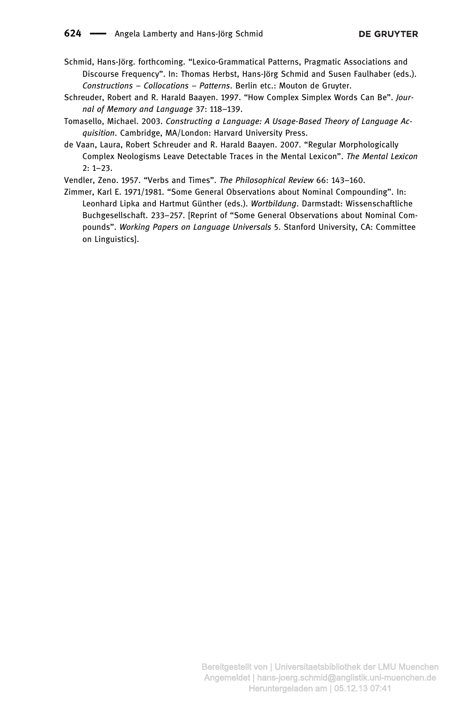- Schmid, Hans-Jörg. forthcoming. "Lexico-Grammatical Patterns, Pragmatic Associations and Discourse Frequency". In: Thomas Herbst, Hans-Jörg Schmid and Susen Faulhaber (eds.). Constructions – Collocations – Patterns. Berlin etc.: Mouton de Gruyter.
- Schreuder, Robert and R. Harald Baayen. 1997. "How Complex Simplex Words Can Be". Journal of Memory and Language 37: 118–139.
- Tomasello, Michael. 2003. Constructing a Language: A Usage-Based Theory of Language Acquisition. Cambridge, MA/London: Harvard University Press.
- de Vaan, Laura, Robert Schreuder and R. Harald Baayen. 2007. "Regular Morphologically Complex Neologisms Leave Detectable Traces in the Mental Lexicon". The Mental Lexicon 2: 1–23.

Vendler, Zeno. 1957. "Verbs and Times". The Philosophical Review 66: 143–160.

Zimmer, Karl E. 1971/1981. "Some General Observations about Nominal Compounding". In: Leonhard Lipka and Hartmut Günther (eds.). Wortbildung. Darmstadt: Wissenschaftliche Buchgesellschaft. 233–257. [Reprint of "Some General Observations about Nominal Compounds". Working Papers on Language Universals 5. Stanford University, CA: Committee on Linguistics].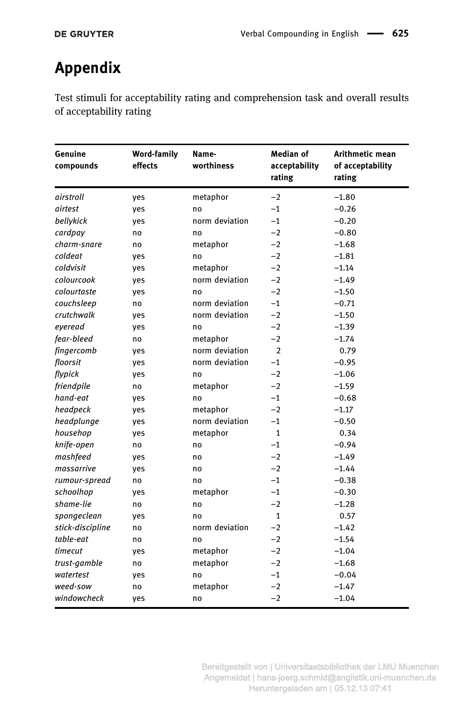# Appendix

Test stimuli for acceptability rating and comprehension task and overall results of acceptability rating

| Genuine<br>compounds | <b>Word-family</b><br>effects | Name-<br>worthiness | Median of<br>acceptability<br>rating | Arithmetic mean<br>of acceptability<br>rating |
|----------------------|-------------------------------|---------------------|--------------------------------------|-----------------------------------------------|
| airstroll            | yes                           | metaphor            | $-2$                                 | $-1.80$                                       |
| airtest              | yes                           | no                  | $-1$                                 | $-0.26$                                       |
| bellykick            | yes                           | norm deviation      | $-1$                                 | $-0.20$                                       |
| cardpay              | no                            | no                  | $-2$                                 | $-0.80$                                       |
| charm-snare          | no                            | metaphor            | $-2$                                 | $-1.68$                                       |
| coldeat              | yes                           | no                  | $-2$                                 | $-1.81$                                       |
| coldvisit            | yes                           | metaphor            | $-2$                                 | $-1.14$                                       |
| colourcook           | yes                           | norm deviation      | $-2$                                 | $-1.49$                                       |
| colourtaste          | yes                           | no                  | $-2$                                 | $-1.50$                                       |
| couchsleep           | no                            | norm deviation      | $-1$                                 | $-0.71$                                       |
| crutchwalk           | yes                           | norm deviation      | $-2$                                 | $-1.50$                                       |
| everead              | yes                           | no                  | $-2$                                 | $-1.39$                                       |
| fear-bleed           | no                            | metaphor            | $-2$                                 | $-1.74$                                       |
| fingercomb           | yes                           | norm deviation      | $\overline{2}$                       | 0.79                                          |
| floorsit             | yes                           | norm deviation      | $-1$                                 | $-0.95$                                       |
| flypick              | yes                           | no                  | $-2$                                 | $-1.06$                                       |
| friendpile           | no                            | metaphor            | $-2$                                 | $-1.59$                                       |
| hand-eat             | yes                           | no                  | $-1$                                 | $-0.68$                                       |
| headpeck             | yes                           | metaphor            | $-2$                                 | $-1.17$                                       |
| headplunge           | yes                           | norm deviation      | $-1$                                 | $-0.50$                                       |
| househop             | yes                           | metaphor            | $\mathbf{1}$                         | 0.34                                          |
| knife-open           | no                            | no                  | $-1$                                 | $-0.94$                                       |
| mashfeed             | yes                           | no                  | $-2$                                 | $-1.49$                                       |
| massarrive           | yes                           | no                  | $-2$                                 | $-1.44$                                       |
| rumour-spread        | no                            | no                  | $-1$                                 | $-0.38$                                       |
| schoolhop            | yes                           | metaphor            | $-1$                                 | $-0.30$                                       |
| shame-lie            | no                            | no                  | $-2$                                 | $-1.28$                                       |
| spongeclean          | yes                           | no                  | 1                                    | 0.57                                          |
| stick-discipline     | no                            | norm deviation      | $-2$                                 | $-1.42$                                       |
| table-eat            | no                            | no                  | $-2$                                 | $-1.54$                                       |
| timecut              | yes                           | metaphor            | $-2$                                 | $-1.04$                                       |
| trust-gamble         | no                            | metaphor            | $-2$                                 | $-1.68$                                       |
| watertest            | yes                           | no                  | $-1$                                 | $-0.04$                                       |
| weed-sow             | no                            | metaphor            | $-2$                                 | $-1.47$                                       |
| windowcheck          | yes                           | no                  | $-2$                                 | $-1.04$                                       |